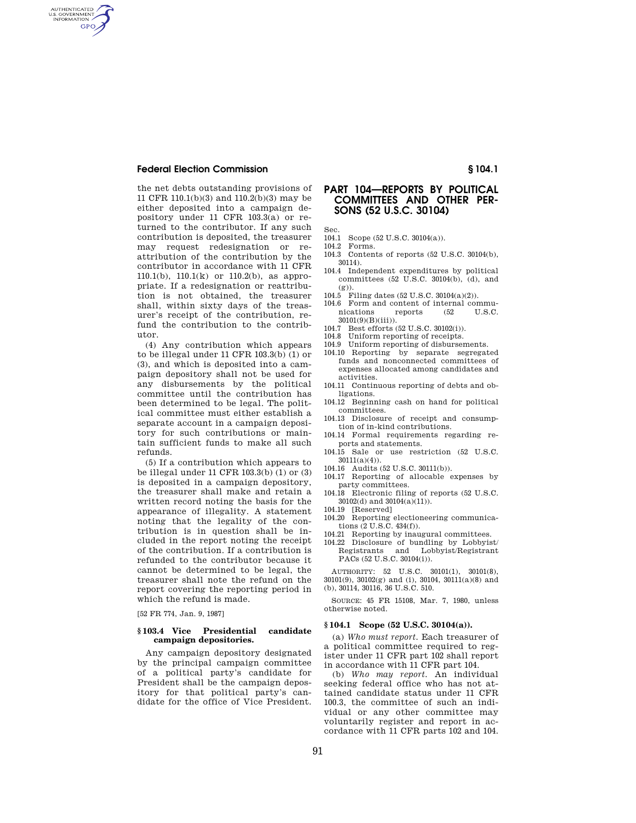AUTHENTICATED<br>U.S. GOVERNMENT<br>INFORMATION **GPO** 

> the net debts outstanding provisions of 11 CFR 110.1(b)(3) and 110.2(b)(3) may be either deposited into a campaign depository under 11 CFR 103.3(a) or returned to the contributor. If any such contribution is deposited, the treasurer may request redesignation or reattribution of the contribution by the contributor in accordance with 11 CFR 110.1(b), 110.1(k) or 110.2(b), as appropriate. If a redesignation or reattribution is not obtained, the treasurer shall, within sixty days of the treasurer's receipt of the contribution, refund the contribution to the contributor.

> (4) Any contribution which appears to be illegal under 11 CFR 103.3(b) (1) or (3), and which is deposited into a campaign depository shall not be used for any disbursements by the political committee until the contribution has been determined to be legal. The political committee must either establish a separate account in a campaign depository for such contributions or maintain sufficient funds to make all such refunds.

> (5) If a contribution which appears to be illegal under 11 CFR 103.3(b) (1) or (3) is deposited in a campaign depository, the treasurer shall make and retain a written record noting the basis for the appearance of illegality. A statement noting that the legality of the contribution is in question shall be included in the report noting the receipt of the contribution. If a contribution is refunded to the contributor because it cannot be determined to be legal, the treasurer shall note the refund on the report covering the reporting period in which the refund is made.

[52 FR 774, Jan. 9, 1987]

### **§ 103.4 Vice Presidential candidate campaign depositories.**

Any campaign depository designated by the principal campaign committee of a political party's candidate for President shall be the campaign depository for that political party's candidate for the office of Vice President.

# **PART 104—REPORTS BY POLITICAL COMMITTEES AND OTHER PER-SONS (52 U.S.C. 30104)**

Sec.

- 104.1 Scope (52 U.S.C. 30104(a)). 104.2 Forms.
- 104.3 Contents of reports (52 U.S.C. 30104(b), 30114).
- 104.4 Independent expenditures by political committees (52 U.S.C. 30104(b), (d), and  $(g))$
- 104.5 Filing dates (52 U.S.C. 30104(a)(2)).
- 104.6 Form and content of internal communications reports (52 U.S.C. 30101(9)(B)(iii)).
- 104.7 Best efforts (52 U.S.C. 30102(i)).
- 104.8 Uniform reporting of receipts.
- 104.9 Uniform reporting of disbursements.
- 104.10 Reporting by separate segregated funds and nonconnected committees of expenses allocated among candidates and activities.
- 104.11 Continuous reporting of debts and obligations.
- 104.12 Beginning cash on hand for political committees.
- 104.13 Disclosure of receipt and consumption of in-kind contributions.
- 104.14 Formal requirements regarding reports and statements.
- 104.15 Sale or use restriction (52 U.S.C.  $30111(a)(4)$ .
- 104.16 Audits (52 U.S.C. 30111(b)).
- 104.17 Reporting of allocable expenses by party committees.
- 104.18 Electronic filing of reports (52 U.S.C. 30102(d) and 30104(a)(11)).
- 104.19 [Reserved]
- 104.20 Reporting electioneering communications (2 U.S.C. 434(f)).
- 104.21 Reporting by inaugural committees.
- 104.22 Disclosure of bundling by Lobbyist/ Registrants and Lobbyist/Registrant PACs (52 U.S.C. 30104(i)).

AUTHORITY: 52 U.S.C. 30101(1), 30101(8), 30101(9), 30102(g) and (i), 30104, 30111(a)(8) and (b), 30114, 30116, 36 U.S.C. 510.

SOURCE: 45 FR 15108, Mar. 7, 1980, unless otherwise noted.

### **§ 104.1 Scope (52 U.S.C. 30104(a)).**

(a) *Who must report.* Each treasurer of a political committee required to register under 11 CFR part 102 shall report in accordance with 11 CFR part 104.

(b) *Who may report.* An individual seeking federal office who has not attained candidate status under 11 CFR 100.3, the committee of such an individual or any other committee may voluntarily register and report in accordance with 11 CFR parts 102 and 104.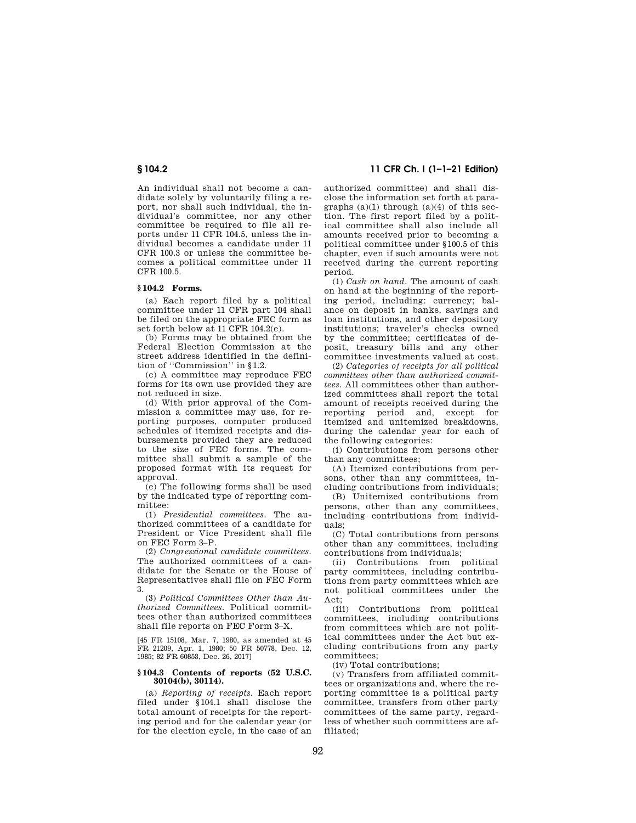An individual shall not become a candidate solely by voluntarily filing a report, nor shall such individual, the individual's committee, nor any other committee be required to file all reports under 11 CFR 104.5, unless the individual becomes a candidate under 11 CFR 100.3 or unless the committee becomes a political committee under 11 CFR 100.5.

### **§ 104.2 Forms.**

(a) Each report filed by a political committee under 11 CFR part 104 shall be filed on the appropriate FEC form as set forth below at 11 CFR 104.2(e).

(b) Forms may be obtained from the Federal Election Commission at the street address identified in the definition of ''Commission'' in §1.2.

(c) A committee may reproduce FEC forms for its own use provided they are not reduced in size.

(d) With prior approval of the Commission a committee may use, for reporting purposes, computer produced schedules of itemized receipts and disbursements provided they are reduced to the size of FEC forms. The committee shall submit a sample of the proposed format with its request for approval.

(e) The following forms shall be used by the indicated type of reporting committee:

(1) *Presidential committees.* The authorized committees of a candidate for President or Vice President shall file on FEC Form 3–P.

(2) *Congressional candidate committees.*  The authorized committees of a candidate for the Senate or the House of Representatives shall file on FEC Form 3.

(3) *Political Committees Other than Authorized Committees.* Political committees other than authorized committees shall file reports on FEC Form 3–X.

[45 FR 15108, Mar. 7, 1980, as amended at 45 FR 21209, Apr. 1, 1980; 50 FR 50778, Dec. 12, 1985; 82 FR 60853, Dec. 26, 2017]

### **§ 104.3 Contents of reports (52 U.S.C. 30104(b), 30114).**

(a) *Reporting of receipts.* Each report filed under §104.1 shall disclose the total amount of receipts for the reporting period and for the calendar year (or for the election cycle, in the case of an

**§ 104.2 11 CFR Ch. I (1–1–21 Edition)** 

authorized committee) and shall disclose the information set forth at paragraphs  $(a)(1)$  through  $(a)(4)$  of this section. The first report filed by a political committee shall also include all amounts received prior to becoming a political committee under §100.5 of this chapter, even if such amounts were not received during the current reporting period.

(1) *Cash on hand.* The amount of cash on hand at the beginning of the reporting period, including: currency; balance on deposit in banks, savings and loan institutions, and other depository institutions; traveler's checks owned by the committee; certificates of deposit, treasury bills and any other committee investments valued at cost.

(2) *Categories of receipts for all political committees other than authorized committees.* All committees other than authorized committees shall report the total amount of receipts received during the reporting period and, except for itemized and unitemized breakdowns, during the calendar year for each of the following categories:

(i) Contributions from persons other than any committees;

(A) Itemized contributions from persons, other than any committees, including contributions from individuals;

(B) Unitemized contributions from persons, other than any committees, including contributions from individuals;

(C) Total contributions from persons other than any committees, including contributions from individuals;

(ii) Contributions from political party committees, including contributions from party committees which are not political committees under the Act;

(iii) Contributions from political committees, including contributions from committees which are not political committees under the Act but excluding contributions from any party committees;

(iv) Total contributions;

(v) Transfers from affiliated committees or organizations and, where the reporting committee is a political party committee, transfers from other party committees of the same party, regardless of whether such committees are affiliated;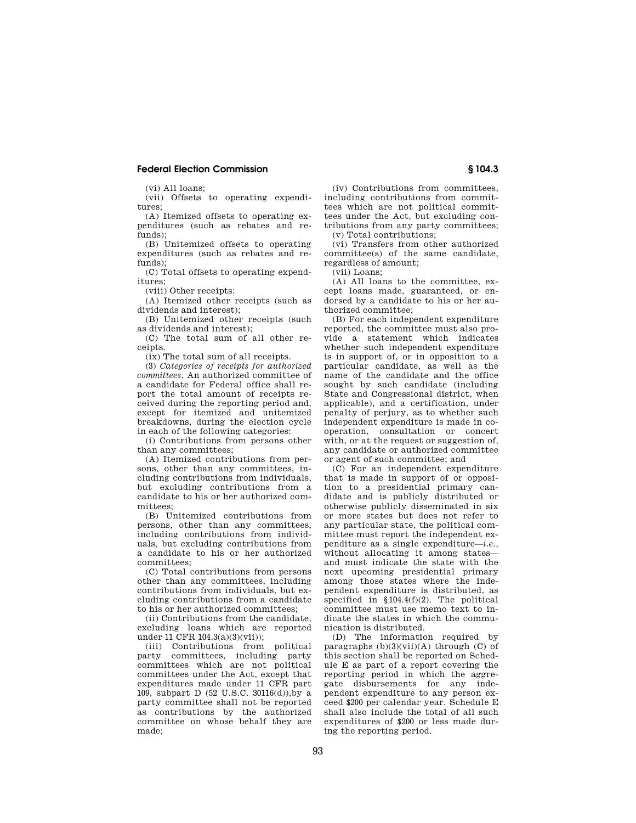(vi) All loans;

(vii) Offsets to operating expenditures;

(A) Itemized offsets to operating expenditures (such as rebates and refunds);

(B) Unitemized offsets to operating expenditures (such as rebates and refunds);

(C) Total offsets to operating expenditures;

(viii) Other receipts:

(A) Itemized other receipts (such as dividends and interest);

(B) Unitemized other receipts (such as dividends and interest);

(C) The total sum of all other receipts.

(ix) The total sum of all receipts.

(3) *Categories of receipts for authorized committees.* An authorized committee of a candidate for Federal office shall report the total amount of receipts received during the reporting period and, except for itemized and unitemized breakdowns, during the election cycle in each of the following categories:

(i) Contributions from persons other than any committees;

(A) Itemized contributions from persons, other than any committees, including contributions from individuals, but excluding contributions from a candidate to his or her authorized committees;

(B) Unitemized contributions from persons, other than any committees, including contributions from individuals, but excluding contributions from a candidate to his or her authorized committees;

(C) Total contributions from persons other than any committees, including contributions from individuals, but excluding contributions from a candidate to his or her authorized committees;

(ii) Contributions from the candidate, excluding loans which are reported under 11 CFR 104.3(a)(3)(vii));

(iii) Contributions from political party committees, including party committees which are not political committees under the Act, except that expenditures made under 11 CFR part 109, subpart D (52 U.S.C. 30116(d)),by a party committee shall not be reported as contributions by the authorized committee on whose behalf they are made;

(iv) Contributions from committees, including contributions from committees which are not political committees under the Act, but excluding contributions from any party committees; (v) Total contributions;

(vi) Transfers from other authorized committee(s) of the same candidate, regardless of amount;

 $(vii)$  Loans;

(A) All loans to the committee, except loans made, guaranteed, or endorsed by a candidate to his or her authorized committee;

(B) For each independent expenditure reported, the committee must also provide a statement which indicates whether such independent expenditure is in support of, or in opposition to a particular candidate, as well as the name of the candidate and the office sought by such candidate (including State and Congressional district, when applicable), and a certification, under penalty of perjury, as to whether such independent expenditure is made in cooperation, consultation or concert with, or at the request or suggestion of, any candidate or authorized committee or agent of such committee; and

(C) For an independent expenditure that is made in support of or opposition to a presidential primary candidate and is publicly distributed or otherwise publicly disseminated in six or more states but does not refer to any particular state, the political committee must report the independent expenditure as a single expenditure—*i.e.,*  without allocating it among states and must indicate the state with the next upcoming presidential primary among those states where the independent expenditure is distributed, as specified in §104.4(f)(2). The political committee must use memo text to indicate the states in which the communication is distributed.

(D) The information required by paragraphs  $(b)(3)(vii)(A)$  through  $(C)$  of this section shall be reported on Schedule E as part of a report covering the reporting period in which the aggregate disbursements for any independent expenditure to any person exceed \$200 per calendar year. Schedule E shall also include the total of all such expenditures of \$200 or less made during the reporting period.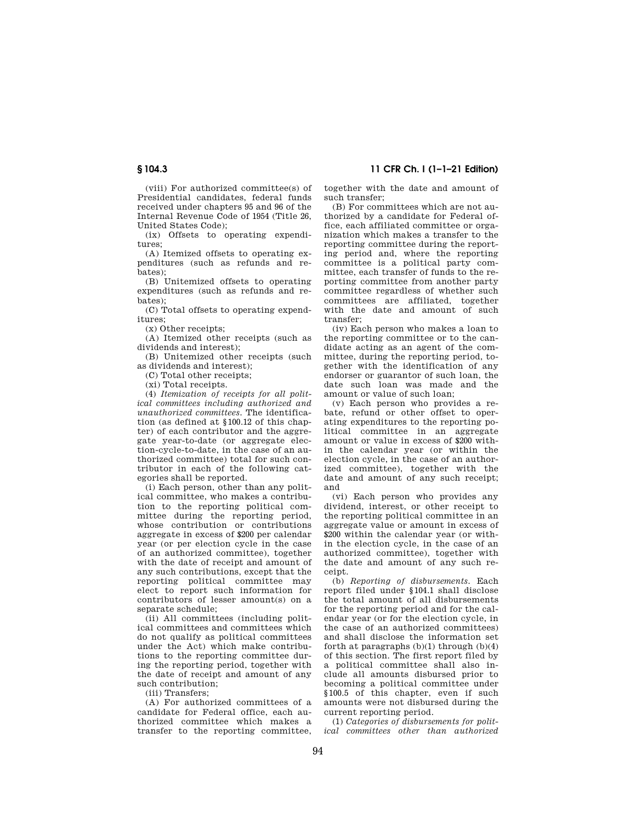# **§ 104.3 11 CFR Ch. I (1–1–21 Edition)**

(viii) For authorized committee(s) of Presidential candidates, federal funds received under chapters 95 and 96 of the Internal Revenue Code of 1954 (Title 26, United States Code);

(ix) Offsets to operating expenditures;

(A) Itemized offsets to operating expenditures (such as refunds and rebates);

(B) Unitemized offsets to operating expenditures (such as refunds and rebates);

(C) Total offsets to operating expenditures;

(x) Other receipts;

(A) Itemized other receipts (such as dividends and interest);

(B) Unitemized other receipts (such as dividends and interest);

(C) Total other receipts;

(xi) Total receipts.

(4) *Itemization of receipts for all political committees including authorized and unauthorized committees.* The identification (as defined at §100.12 of this chapter) of each contributor and the aggregate year-to-date (or aggregate election-cycle-to-date, in the case of an authorized committee) total for such contributor in each of the following categories shall be reported.

(i) Each person, other than any political committee, who makes a contribution to the reporting political committee during the reporting period, whose contribution or contributions aggregate in excess of \$200 per calendar year (or per election cycle in the case of an authorized committee), together with the date of receipt and amount of any such contributions, except that the reporting political committee may elect to report such information for contributors of lesser amount(s) on a separate schedule;

(ii) All committees (including political committees and committees which do not qualify as political committees under the Act) which make contributions to the reporting committee during the reporting period, together with the date of receipt and amount of any such contribution;

(iii) Transfers;

(A) For authorized committees of a candidate for Federal office, each authorized committee which makes a transfer to the reporting committee, together with the date and amount of such transfer;

(B) For committees which are not authorized by a candidate for Federal office, each affiliated committee or organization which makes a transfer to the reporting committee during the reporting period and, where the reporting committee is a political party committee, each transfer of funds to the reporting committee from another party committee regardless of whether such committees are affiliated, together with the date and amount of such transfer;

(iv) Each person who makes a loan to the reporting committee or to the candidate acting as an agent of the committee, during the reporting period, together with the identification of any endorser or guarantor of such loan, the date such loan was made and the amount or value of such loan;

(v) Each person who provides a rebate, refund or other offset to operating expenditures to the reporting political committee in an aggregate amount or value in excess of \$200 within the calendar year (or within the election cycle, in the case of an authorized committee), together with the date and amount of any such receipt; and

(vi) Each person who provides any dividend, interest, or other receipt to the reporting political committee in an aggregate value or amount in excess of \$200 within the calendar year (or within the election cycle, in the case of an authorized committee), together with the date and amount of any such receipt.

(b) *Reporting of disbursements.* Each report filed under §104.1 shall disclose the total amount of all disbursements for the reporting period and for the calendar year (or for the election cycle, in the case of an authorized committees) and shall disclose the information set forth at paragraphs  $(b)(1)$  through  $(b)(4)$ of this section. The first report filed by a political committee shall also include all amounts disbursed prior to becoming a political committee under §100.5 of this chapter, even if such amounts were not disbursed during the current reporting period.

(1) *Categories of disbursements for political committees other than authorized*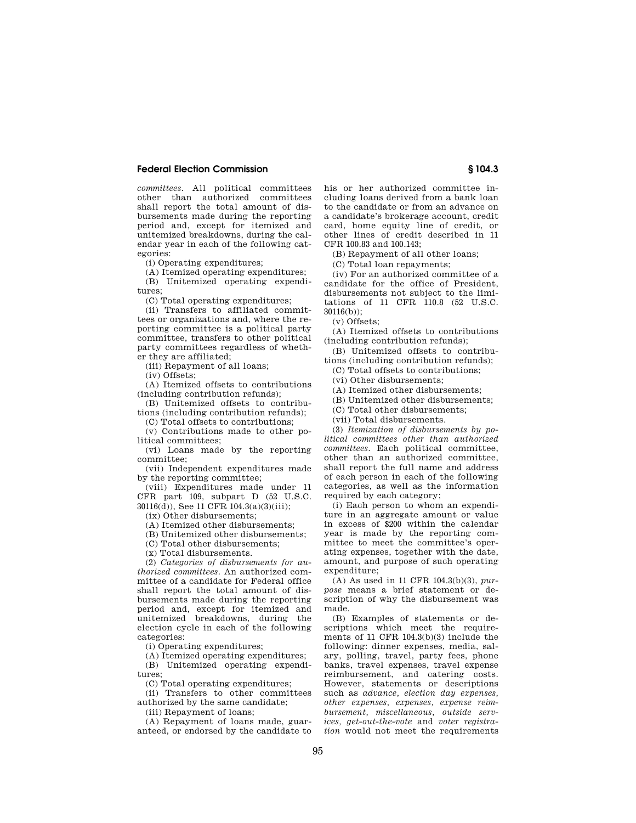*committees.* All political committees other than authorized committees shall report the total amount of disbursements made during the reporting period and, except for itemized and unitemized breakdowns, during the calendar year in each of the following categories:

(i) Operating expenditures;

(A) Itemized operating expenditures; (B) Unitemized operating expendi-

tures;

(C) Total operating expenditures;

(ii) Transfers to affiliated committees or organizations and, where the reporting committee is a political party committee, transfers to other political party committees regardless of whether they are affiliated;

(iii) Repayment of all loans;

(iv) Offsets;

(A) Itemized offsets to contributions (including contribution refunds);

(B) Unitemized offsets to contributions (including contribution refunds);

(C) Total offsets to contributions;

(v) Contributions made to other political committees;

(vi) Loans made by the reporting committee;

(vii) Independent expenditures made by the reporting committee;

(viii) Expenditures made under 11 CFR part 109, subpart D (52 U.S.C. 30116(d)), See 11 CFR 104.3(a)(3)(iii);

(ix) Other disbursements;

(A) Itemized other disbursements;

(B) Unitemized other disbursements;

(C) Total other disbursements;

(x) Total disbursements.

(2) *Categories of disbursements for authorized committees.* An authorized committee of a candidate for Federal office shall report the total amount of disbursements made during the reporting period and, except for itemized and unitemized breakdowns, during the election cycle in each of the following categories:

(i) Operating expenditures;

(A) Itemized operating expenditures; (B) Unitemized operating expenditures;

(C) Total operating expenditures;

(ii) Transfers to other committees authorized by the same candidate;

(iii) Repayment of loans;

(A) Repayment of loans made, guaranteed, or endorsed by the candidate to his or her authorized committee including loans derived from a bank loan to the candidate or from an advance on a candidate's brokerage account, credit card, home equity line of credit, or other lines of credit described in 11 CFR 100.83 and 100.143;

(B) Repayment of all other loans;

(C) Total loan repayments;

(iv) For an authorized committee of a candidate for the office of President, disbursements not subject to the limitations of 11 CFR 110.8 (52 U.S.C. 30116(b));

(v) Offsets;

(A) Itemized offsets to contributions (including contribution refunds);

(B) Unitemized offsets to contributions (including contribution refunds);

(C) Total offsets to contributions;

(vi) Other disbursements;

(A) Itemized other disbursements;

(B) Unitemized other disbursements;

(C) Total other disbursements;

(vii) Total disbursements.

(3) *Itemization of disbursements by political committees other than authorized committees.* Each political committee, other than an authorized committee, shall report the full name and address of each person in each of the following categories, as well as the information required by each category;

(i) Each person to whom an expenditure in an aggregate amount or value in excess of \$200 within the calendar year is made by the reporting committee to meet the committee's operating expenses, together with the date, amount, and purpose of such operating expenditure;

(A) As used in 11 CFR 104.3(b)(3), *purpose* means a brief statement or description of why the disbursement was made.

(B) Examples of statements or descriptions which meet the requirements of 11 CFR 104.3(b)(3) include the following: dinner expenses, media, salary, polling, travel, party fees, phone banks, travel expenses, travel expense reimbursement, and catering costs. However, statements or descriptions such as *advance, election day expenses, other expenses, expenses, expense reimbursement, miscellaneous, outside services, get-out-the-vote* and *voter registration* would not meet the requirements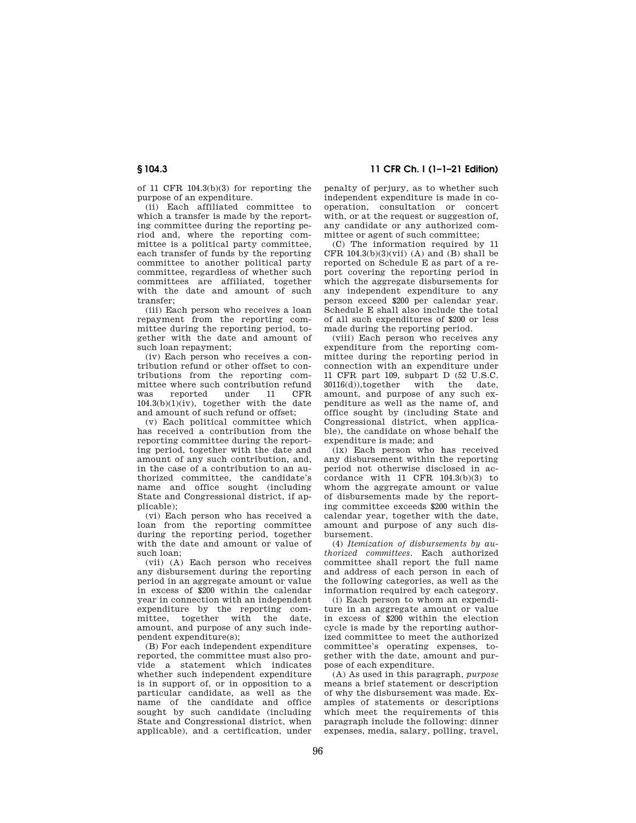# **§ 104.3 11 CFR Ch. I (1–1–21 Edition)**

of 11 CFR 104.3(b)(3) for reporting the purpose of an expenditure.

(ii) Each affiliated committee to which a transfer is made by the reporting committee during the reporting period and, where the reporting committee is a political party committee, each transfer of funds by the reporting committee to another political party committee, regardless of whether such committees are affiliated, together with the date and amount of such transfer;

(iii) Each person who receives a loan repayment from the reporting committee during the reporting period, together with the date and amount of such loan repayment;

(iv) Each person who receives a contribution refund or other offset to contributions from the reporting committee where such contribution refund was reported under 11 CFR  $104.3(b)(1)(iv)$ , together with the date and amount of such refund or offset;

(v) Each political committee which has received a contribution from the reporting committee during the reporting period, together with the date and amount of any such contribution, and, in the case of a contribution to an authorized committee, the candidate's name and office sought (including State and Congressional district, if applicable);

(vi) Each person who has received a loan from the reporting committee during the reporting period, together with the date and amount or value of such loan;

(vii) (A) Each person who receives any disbursement during the reporting period in an aggregate amount or value in excess of \$200 within the calendar year in connection with an independent expenditure by the reporting committee, together with the date, amount, and purpose of any such independent expenditure(s);

(B) For each independent expenditure reported, the committee must also provide a statement which indicates whether such independent expenditure is in support of, or in opposition to a particular candidate, as well as the name of the candidate and office sought by such candidate (including State and Congressional district, when applicable), and a certification, under

penalty of perjury, as to whether such independent expenditure is made in cooperation, consultation or concert with, or at the request or suggestion of, any candidate or any authorized committee or agent of such committee;

(C) The information required by 11 CFR  $104.3(b)(3)(vii)$  (A) and (B) shall be reported on Schedule E as part of a report covering the reporting period in which the aggregate disbursements for any independent expenditure to any person exceed \$200 per calendar year. Schedule E shall also include the total of all such expenditures of \$200 or less made during the reporting period.

(viii) Each person who receives any expenditure from the reporting committee during the reporting period in connection with an expenditure under 11 CFR part 109, subpart  $D$  (52 U.S.C.<br>30116(d)),together with the date,  $30116(d)$ , together amount, and purpose of any such expenditure as well as the name of, and office sought by (including State and Congressional district, when applicable), the candidate on whose behalf the expenditure is made; and

(ix) Each person who has received any disbursement within the reporting period not otherwise disclosed in accordance with 11 CFR 104.3(b)(3) to whom the aggregate amount or value of disbursements made by the reporting committee exceeds \$200 within the calendar year, together with the date, amount and purpose of any such disbursement.

(4) *Itemization of disbursements by authorized committees.* Each authorized committee shall report the full name and address of each person in each of the following categories, as well as the information required by each category.

(i) Each person to whom an expenditure in an aggregate amount or value in excess of \$200 within the election cycle is made by the reporting authorized committee to meet the authorized committee's operating expenses, together with the date, amount and purpose of each expenditure.

(A) As used in this paragraph, *purpose*  means a brief statement or description of why the disbursement was made. Examples of statements or descriptions which meet the requirements of this paragraph include the following: dinner expenses, media, salary, polling, travel,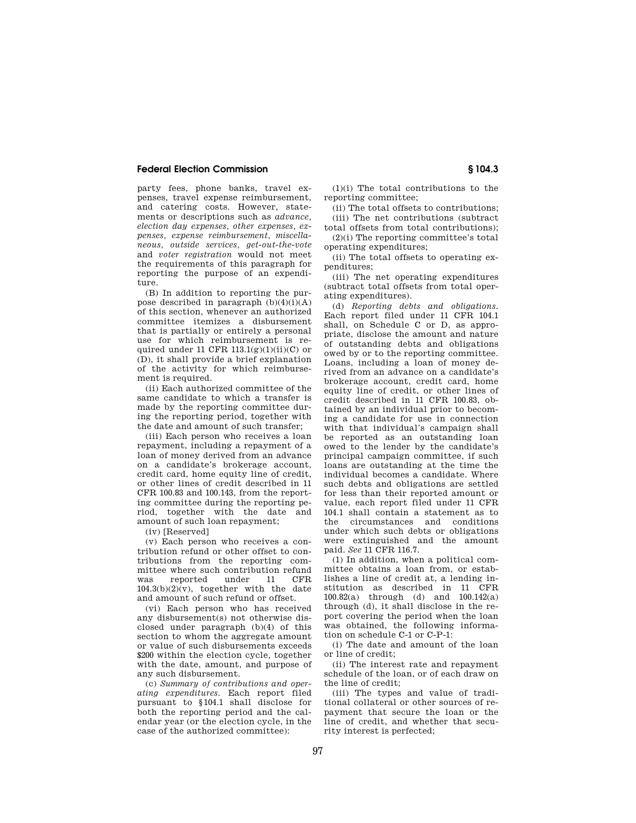party fees, phone banks, travel expenses, travel expense reimbursement, and catering costs. However, statements or descriptions such as *advance, election day expenses, other expenses, expenses, expense reimbursement, miscellaneous, outside services, get-out-the-vote*  and *voter registration* would not meet the requirements of this paragraph for reporting the purpose of an expenditure.

(B) In addition to reporting the purpose described in paragraph  $(b)(4)(i)(A)$ of this section, whenever an authorized committee itemizes a disbursement that is partially or entirely a personal use for which reimbursement is required under 11 CFR  $113.1(g)(1)(ii)(C)$  or (D), it shall provide a brief explanation of the activity for which reimbursement is required.

(ii) Each authorized committee of the same candidate to which a transfer is made by the reporting committee during the reporting period, together with the date and amount of such transfer;

(iii) Each person who receives a loan repayment, including a repayment of a loan of money derived from an advance on a candidate's brokerage account, credit card, home equity line of credit, or other lines of credit described in 11 CFR 100.83 and 100.143, from the reporting committee during the reporting period, together with the date and amount of such loan repayment;

(iv) [Reserved]

(v) Each person who receives a contribution refund or other offset to contributions from the reporting committee where such contribution refund<br>was reported under 11 CFR was reported under 11  $104.3(b)(2)(v)$ , together with the date and amount of such refund or offset.

(vi) Each person who has received any disbursement(s) not otherwise disclosed under paragraph (b)(4) of this section to whom the aggregate amount or value of such disbursements exceeds \$200 within the election cycle, together with the date, amount, and purpose of any such disbursement.

(c) *Summary of contributions and operating expenditures.* Each report filed pursuant to §104.1 shall disclose for both the reporting period and the calendar year (or the election cycle, in the case of the authorized committee):

(1)(i) The total contributions to the reporting committee;

(ii) The total offsets to contributions; (iii) The net contributions (subtract

total offsets from total contributions); (2)(i) The reporting committee's total operating expenditures;

(ii) The total offsets to operating expenditures;

(iii) The net operating expenditures (subtract total offsets from total operating expenditures).

(d) *Reporting debts and obligations.*  Each report filed under 11 CFR 104.1 shall, on Schedule C or D, as appropriate, disclose the amount and nature of outstanding debts and obligations owed by or to the reporting committee. Loans, including a loan of money derived from an advance on a candidate's brokerage account, credit card, home equity line of credit, or other lines of credit described in 11 CFR 100.83, obtained by an individual prior to becoming a candidate for use in connection with that individual's campaign shall be reported as an outstanding loan owed to the lender by the candidate's principal campaign committee, if such loans are outstanding at the time the individual becomes a candidate. Where such debts and obligations are settled for less than their reported amount or value, each report filed under 11 CFR 104.1 shall contain a statement as to the circumstances and conditions under which such debts or obligations were extinguished and the amount paid. *See* 11 CFR 116.7.

(1) In addition, when a political committee obtains a loan from, or establishes a line of credit at, a lending institution as described in 11 CFR 100.82(a) through (d) and 100.142(a) through (d), it shall disclose in the report covering the period when the loan was obtained, the following information on schedule C-1 or C-P-1:

(i) The date and amount of the loan or line of credit;

(ii) The interest rate and repayment schedule of the loan, or of each draw on the line of credit;

(iii) The types and value of traditional collateral or other sources of repayment that secure the loan or the line of credit, and whether that security interest is perfected;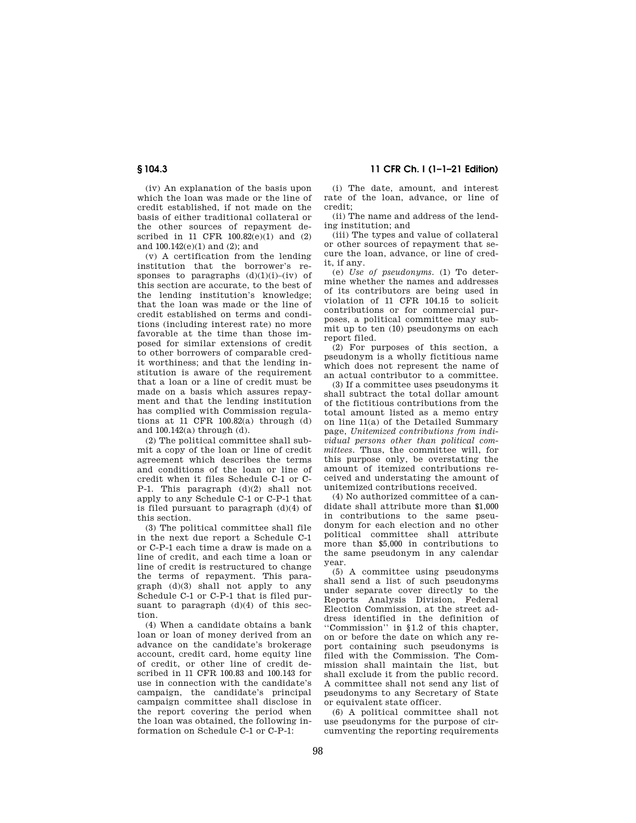(iv) An explanation of the basis upon which the loan was made or the line of credit established, if not made on the basis of either traditional collateral or the other sources of repayment described in 11 CFR 100.82(e)(1) and (2) and 100.142(e)(1) and (2); and

(v) A certification from the lending institution that the borrower's responses to paragraphs  $(d)(1)(i)$ –(iv) of this section are accurate, to the best of the lending institution's knowledge; that the loan was made or the line of credit established on terms and conditions (including interest rate) no more favorable at the time than those imposed for similar extensions of credit to other borrowers of comparable credit worthiness; and that the lending institution is aware of the requirement that a loan or a line of credit must be made on a basis which assures repayment and that the lending institution has complied with Commission regulations at 11 CFR 100.82(a) through (d) and 100.142(a) through (d).

(2) The political committee shall submit a copy of the loan or line of credit agreement which describes the terms and conditions of the loan or line of credit when it files Schedule C-1 or C-P-1. This paragraph (d)(2) shall not apply to any Schedule C-1 or C-P-1 that is filed pursuant to paragraph (d)(4) of this section.

(3) The political committee shall file in the next due report a Schedule C-1 or C-P-1 each time a draw is made on a line of credit, and each time a loan or line of credit is restructured to change the terms of repayment. This paragraph (d)(3) shall not apply to any Schedule C-1 or C-P-1 that is filed pursuant to paragraph (d)(4) of this section.

(4) When a candidate obtains a bank loan or loan of money derived from an advance on the candidate's brokerage account, credit card, home equity line of credit, or other line of credit described in 11 CFR 100.83 and 100.143 for use in connection with the candidate's campaign, the candidate's principal campaign committee shall disclose in the report covering the period when the loan was obtained, the following information on Schedule C-1 or C-P-1:

**§ 104.3 11 CFR Ch. I (1–1–21 Edition)** 

(i) The date, amount, and interest rate of the loan, advance, or line of credit;

(ii) The name and address of the lending institution; and

(iii) The types and value of collateral or other sources of repayment that secure the loan, advance, or line of credit, if any.

(e) *Use of pseudonyms.* (1) To determine whether the names and addresses of its contributors are being used in violation of 11 CFR 104.15 to solicit contributions or for commercial purposes, a political committee may submit up to ten (10) pseudonyms on each report filed.

(2) For purposes of this section, a pseudonym is a wholly fictitious name which does not represent the name of an actual contributor to a committee.

(3) If a committee uses pseudonyms it shall subtract the total dollar amount of the fictitious contributions from the total amount listed as a memo entry on line 11(a) of the Detailed Summary page, *Unitemized contributions from individual persons other than political committees.* Thus, the committee will, for this purpose only, be overstating the amount of itemized contributions received and understating the amount of unitemized contributions received.

(4) No authorized committee of a candidate shall attribute more than \$1,000 in contributions to the same pseudonym for each election and no other political committee shall attribute more than \$5,000 in contributions to the same pseudonym in any calendar year.

(5) A committee using pseudonyms shall send a list of such pseudonyms under separate cover directly to the Reports Analysis Division, Federal Election Commission, at the street address identified in the definition of ''Commission'' in §1.2 of this chapter, on or before the date on which any report containing such pseudonyms is filed with the Commission. The Commission shall maintain the list, but shall exclude it from the public record. A committee shall not send any list of pseudonyms to any Secretary of State or equivalent state officer.

(6) A political committee shall not use pseudonyms for the purpose of circumventing the reporting requirements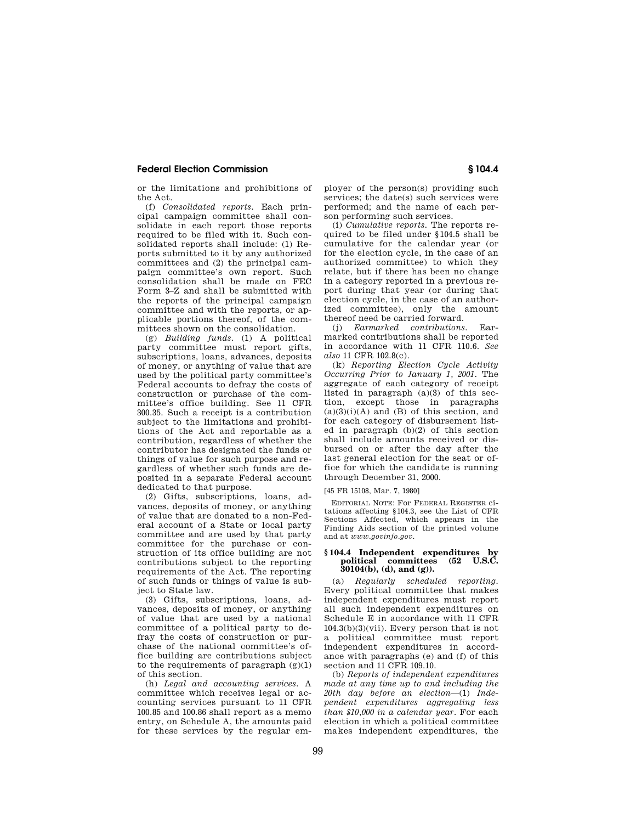or the limitations and prohibitions of the Act.

(f) *Consolidated reports.* Each principal campaign committee shall consolidate in each report those reports required to be filed with it. Such consolidated reports shall include: (1) Reports submitted to it by any authorized committees and (2) the principal campaign committee's own report. Such consolidation shall be made on FEC Form 3–Z and shall be submitted with the reports of the principal campaign committee and with the reports, or applicable portions thereof, of the committees shown on the consolidation.

(g) *Building funds.* (1) A political party committee must report gifts, subscriptions, loans, advances, deposits of money, or anything of value that are used by the political party committee's Federal accounts to defray the costs of construction or purchase of the committee's office building. See 11 CFR 300.35. Such a receipt is a contribution subject to the limitations and prohibitions of the Act and reportable as a contribution, regardless of whether the contributor has designated the funds or things of value for such purpose and regardless of whether such funds are deposited in a separate Federal account dedicated to that purpose.

(2) Gifts, subscriptions, loans, advances, deposits of money, or anything of value that are donated to a non-Federal account of a State or local party committee and are used by that party committee for the purchase or construction of its office building are not contributions subject to the reporting requirements of the Act. The reporting of such funds or things of value is subject to State law.

(3) Gifts, subscriptions, loans, advances, deposits of money, or anything of value that are used by a national committee of a political party to defray the costs of construction or purchase of the national committee's office building are contributions subject to the requirements of paragraph  $(g)(1)$ of this section.

(h) *Legal and accounting services.* A committee which receives legal or accounting services pursuant to 11 CFR 100.85 and 100.86 shall report as a memo entry, on Schedule A, the amounts paid for these services by the regular employer of the person(s) providing such services; the date(s) such services were performed; and the name of each person performing such services.

(i) *Cumulative reports.* The reports required to be filed under §104.5 shall be cumulative for the calendar year (or for the election cycle, in the case of an authorized committee) to which they relate, but if there has been no change in a category reported in a previous report during that year (or during that election cycle, in the case of an authorized committee), only the amount thereof need be carried forward.

(j) *Earmarked contributions.* Earmarked contributions shall be reported in accordance with 11 CFR 110.6. *See also* 11 CFR 102.8(c).

(k) *Reporting Election Cycle Activity Occurring Prior to January 1, 2001.* The aggregate of each category of receipt listed in paragraph (a)(3) of this section, except those in paragraphs  $(a)(3)(i)(A)$  and  $(B)$  of this section, and for each category of disbursement listed in paragraph (b)(2) of this section shall include amounts received or disbursed on or after the day after the last general election for the seat or office for which the candidate is running through December 31, 2000.

[45 FR 15108, Mar. 7, 1980]

EDITORIAL NOTE: For FEDERAL REGISTER citations affecting §104.3, see the List of CFR Sections Affected, which appears in the Finding Aids section of the printed volume and at *www.govinfo.gov.* 

### **§ 104.4 Independent expenditures by political** committees (52 **30104(b), (d), and (g)).**

(a) *Regularly scheduled reporting.*  Every political committee that makes independent expenditures must report all such independent expenditures on Schedule E in accordance with 11 CFR  $104.3(b)(3)(vii)$ . Every person that is not a political committee must report independent expenditures in accordance with paragraphs (e) and (f) of this section and 11 CFR 109.10.

(b) *Reports of independent expenditures made at any time up to and including the 20th day before an election*—(1) *Independent expenditures aggregating less than \$10,000 in a calendar year.* For each election in which a political committee makes independent expenditures, the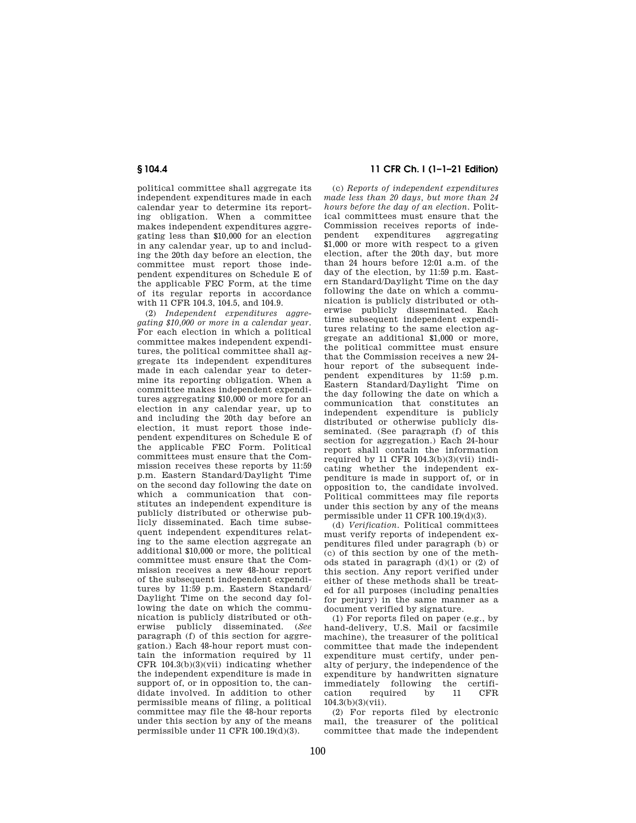political committee shall aggregate its independent expenditures made in each calendar year to determine its reporting obligation. When a committee makes independent expenditures aggregating less than \$10,000 for an election in any calendar year, up to and including the 20th day before an election, the committee must report those independent expenditures on Schedule E of the applicable FEC Form, at the time of its regular reports in accordance with 11 CFR 104.3, 104.5, and 104.9.

(2) *Independent expenditures aggregating \$10,000 or more in a calendar year.*  For each election in which a political committee makes independent expenditures, the political committee shall aggregate its independent expenditures made in each calendar year to determine its reporting obligation. When a committee makes independent expenditures aggregating \$10,000 or more for an election in any calendar year, up to and including the 20th day before an election, it must report those independent expenditures on Schedule E of the applicable FEC Form. Political committees must ensure that the Commission receives these reports by 11:59 p.m. Eastern Standard/Daylight Time on the second day following the date on which a communication that constitutes an independent expenditure is publicly distributed or otherwise publicly disseminated. Each time subsequent independent expenditures relating to the same election aggregate an additional \$10,000 or more, the political committee must ensure that the Commission receives a new 48-hour report of the subsequent independent expenditures by 11:59 p.m. Eastern Standard/ Daylight Time on the second day following the date on which the communication is publicly distributed or otherwise publicly disseminated. (*See*  paragraph (f) of this section for aggregation.) Each 48-hour report must contain the information required by 11 CFR  $104.3(b)(3)(vii)$  indicating whether the independent expenditure is made in support of, or in opposition to, the candidate involved. In addition to other permissible means of filing, a political committee may file the 48-hour reports under this section by any of the means permissible under 11 CFR 100.19(d)(3).

# **§ 104.4 11 CFR Ch. I (1–1–21 Edition)**

(c) *Reports of independent expenditures made less than 20 days, but more than 24 hours before the day of an election.* Political committees must ensure that the Commission receives reports of inde-<br>
representing<br>  $\frac{1}{2}$  representing<br>  $\frac{1}{2}$  representing expenditures aggregating \$1,000 or more with respect to a given election, after the 20th day, but more than 24 hours before 12:01 a.m. of the day of the election, by 11:59 p.m. Eastern Standard/Daylight Time on the day following the date on which a communication is publicly distributed or otherwise publicly disseminated. Each time subsequent independent expenditures relating to the same election aggregate an additional \$1,000 or more, the political committee must ensure that the Commission receives a new 24 hour report of the subsequent independent expenditures by 11:59 p.m. Eastern Standard/Daylight Time on the day following the date on which a communication that constitutes an independent expenditure is publicly distributed or otherwise publicly disseminated. (See paragraph (f) of this section for aggregation.) Each 24-hour report shall contain the information required by 11 CFR 104.3(b)(3)(vii) indicating whether the independent expenditure is made in support of, or in opposition to, the candidate involved. Political committees may file reports under this section by any of the means permissible under 11 CFR 100.19(d)(3).

(d) *Verification.* Political committees must verify reports of independent expenditures filed under paragraph (b) or (c) of this section by one of the methods stated in paragraph  $(d)(1)$  or  $(2)$  of this section. Any report verified under either of these methods shall be treated for all purposes (including penalties for perjury) in the same manner as a document verified by signature.

(1) For reports filed on paper (e.g., by hand-delivery, U.S. Mail or facsimile machine), the treasurer of the political committee that made the independent expenditure must certify, under penalty of perjury, the independence of the expenditure by handwritten signature immediately following the certification required by 11 CFR  $104.3(b)(3)(vii)$ .

(2) For reports filed by electronic mail, the treasurer of the political committee that made the independent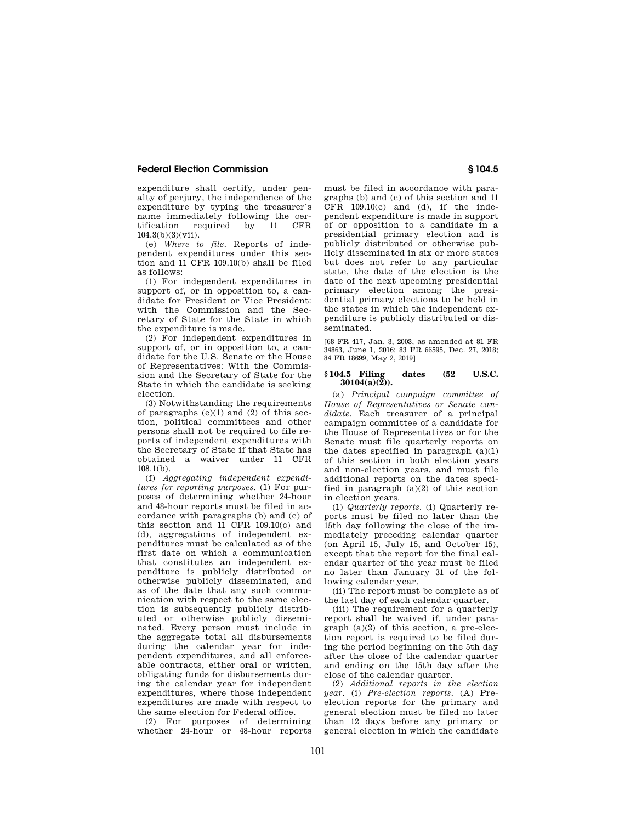expenditure shall certify, under penalty of perjury, the independence of the expenditure by typing the treasurer's name immediately following the cer-<br>tification required by 11 CFR required by 104.3(b)(3)(vii).

(e) *Where to file.* Reports of independent expenditures under this section and 11 CFR 109.10(b) shall be filed as follows:

(1) For independent expenditures in support of, or in opposition to, a candidate for President or Vice President: with the Commission and the Secretary of State for the State in which the expenditure is made.

(2) For independent expenditures in support of, or in opposition to, a candidate for the U.S. Senate or the House of Representatives: With the Commission and the Secretary of State for the State in which the candidate is seeking election.

(3) Notwithstanding the requirements of paragraphs  $(e)(1)$  and  $(2)$  of this section, political committees and other persons shall not be required to file reports of independent expenditures with the Secretary of State if that State has obtained a waiver under 11 CFR 108.1(b).

(f) *Aggregating independent expenditures for reporting purposes.* (1) For purposes of determining whether 24-hour and 48-hour reports must be filed in accordance with paragraphs (b) and (c) of this section and  $11$  CFR  $109.10(c)$  and (d), aggregations of independent expenditures must be calculated as of the first date on which a communication that constitutes an independent expenditure is publicly distributed or otherwise publicly disseminated, and as of the date that any such communication with respect to the same election is subsequently publicly distributed or otherwise publicly disseminated. Every person must include in the aggregate total all disbursements during the calendar year for independent expenditures, and all enforceable contracts, either oral or written, obligating funds for disbursements during the calendar year for independent expenditures, where those independent expenditures are made with respect to the same election for Federal office.

(2) For purposes of determining whether 24-hour or 48-hour reports must be filed in accordance with paragraphs (b) and (c) of this section and 11  $CFR$  109.10(c) and (d), if the independent expenditure is made in support of or opposition to a candidate in a presidential primary election and is publicly distributed or otherwise publicly disseminated in six or more states but does not refer to any particular state, the date of the election is the date of the next upcoming presidential primary election among the presidential primary elections to be held in the states in which the independent expenditure is publicly distributed or disseminated.

[68 FR 417, Jan. 3, 2003, as amended at 81 FR 34863, June 1, 2016; 83 FR 66595, Dec. 27, 2018; 84 FR 18699, May 2, 2019]

### **§ 104.5 Filing dates (52 U.S.C. 30104(a)(2)).**

(a) *Principal campaign committee of House of Representatives or Senate candidate.* Each treasurer of a principal campaign committee of a candidate for the House of Representatives or for the Senate must file quarterly reports on the dates specified in paragraph  $(a)(1)$ of this section in both election years and non-election years, and must file additional reports on the dates specified in paragraph  $(a)(2)$  of this section in election years.

(1) *Quarterly reports.* (i) Quarterly reports must be filed no later than the 15th day following the close of the immediately preceding calendar quarter (on April 15, July 15, and October 15), except that the report for the final calendar quarter of the year must be filed no later than January 31 of the following calendar year.

(ii) The report must be complete as of the last day of each calendar quarter.

(iii) The requirement for a quarterly report shall be waived if, under paragraph (a)(2) of this section, a pre-election report is required to be filed during the period beginning on the 5th day after the close of the calendar quarter and ending on the 15th day after the close of the calendar quarter.

(2) *Additional reports in the election year.* (i) *Pre-election reports.* (A) Preelection reports for the primary and general election must be filed no later than 12 days before any primary or general election in which the candidate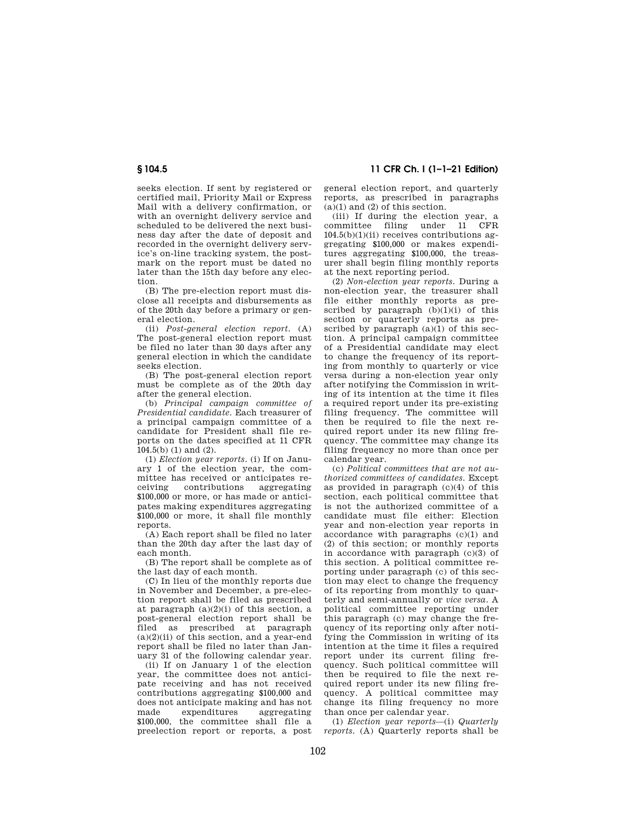**§ 104.5 11 CFR Ch. I (1–1–21 Edition)** 

seeks election. If sent by registered or certified mail, Priority Mail or Express Mail with a delivery confirmation, or with an overnight delivery service and scheduled to be delivered the next business day after the date of deposit and recorded in the overnight delivery service's on-line tracking system, the postmark on the report must be dated no later than the 15th day before any election.

(B) The pre-election report must disclose all receipts and disbursements as of the 20th day before a primary or general election.

(ii) *Post-general election report.* (A) The post-general election report must be filed no later than 30 days after any general election in which the candidate seeks election.

(B) The post-general election report must be complete as of the 20th day after the general election.

(b) *Principal campaign committee of Presidential candidate.* Each treasurer of a principal campaign committee of a candidate for President shall file reports on the dates specified at 11 CFR  $104.5(b)$  (1) and (2).

(1) *Election year reports.* (i) If on January 1 of the election year, the committee has received or anticipates receiving contributions aggregating \$100,000 or more, or has made or anticipates making expenditures aggregating \$100,000 or more, it shall file monthly reports.

(A) Each report shall be filed no later than the 20th day after the last day of each month.

(B) The report shall be complete as of the last day of each month.

(C) In lieu of the monthly reports due in November and December, a pre-election report shall be filed as prescribed at paragraph  $(a)(2)(i)$  of this section, a post-general election report shall be filed as prescribed at paragraph  $(a)(2)(ii)$  of this section, and a year-end report shall be filed no later than January 31 of the following calendar year.

(ii) If on January 1 of the election year, the committee does not anticipate receiving and has not received contributions aggregating \$100,000 and does not anticipate making and has not made expenditures aggregating \$100,000, the committee shall file a preelection report or reports, a post general election report, and quarterly reports, as prescribed in paragraphs  $(a)(1)$  and  $(2)$  of this section.

(iii) If during the election year, a committee filing under 11 CFR  $104.5(b)(1)(ii)$  receives contributions aggregating \$100,000 or makes expenditures aggregating \$100,000, the treasurer shall begin filing monthly reports at the next reporting period.

(2) *Non-election year reports.* During a non-election year, the treasurer shall file either monthly reports as prescribed by paragraph  $(b)(1)(i)$  of this section or quarterly reports as prescribed by paragraph  $(a)(1)$  of this section. A principal campaign committee of a Presidential candidate may elect to change the frequency of its reporting from monthly to quarterly or vice versa during a non-election year only after notifying the Commission in writing of its intention at the time it files a required report under its pre-existing filing frequency. The committee will then be required to file the next required report under its new filing frequency. The committee may change its filing frequency no more than once per calendar year.

(c) *Political committees that are not authorized committees of candidates.* Except as provided in paragraph (c)(4) of this section, each political committee that is not the authorized committee of a candidate must file either: Election year and non-election year reports in accordance with paragraphs (c)(1) and (2) of this section; or monthly reports in accordance with paragraph  $(c)(3)$  of this section. A political committee reporting under paragraph (c) of this section may elect to change the frequency of its reporting from monthly to quarterly and semi-annually or *vice versa.* A political committee reporting under this paragraph (c) may change the frequency of its reporting only after notifying the Commission in writing of its intention at the time it files a required report under its current filing frequency. Such political committee will then be required to file the next required report under its new filing frequency. A political committee may change its filing frequency no more than once per calendar year.

(1) *Election year reports*—(i) *Quarterly reports.* (A) Quarterly reports shall be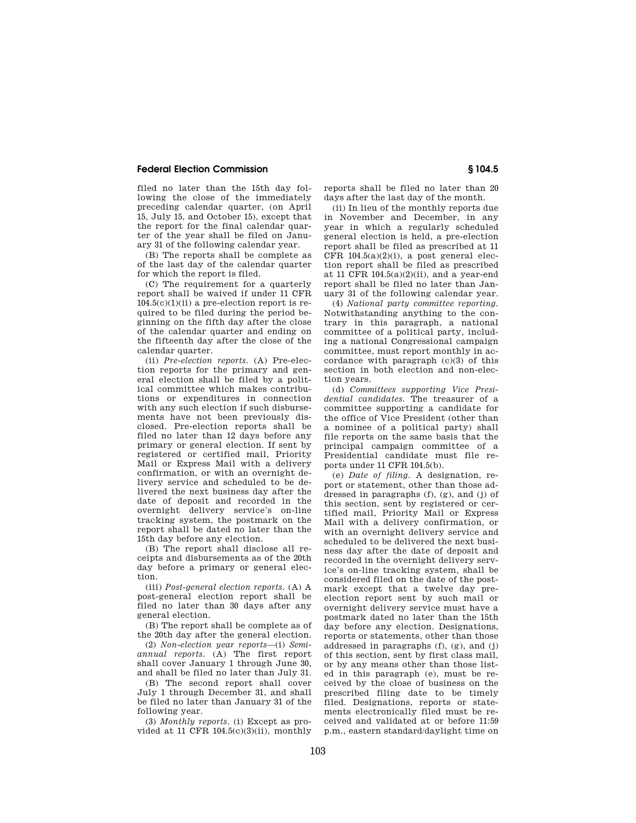filed no later than the 15th day following the close of the immediately preceding calendar quarter, (on April 15, July 15, and October 15), except that the report for the final calendar quarter of the year shall be filed on January 31 of the following calendar year.

(B) The reports shall be complete as of the last day of the calendar quarter for which the report is filed.

(C) The requirement for a quarterly report shall be waived if under 11 CFR  $104.5(c)(1)(ii)$  a pre-election report is required to be filed during the period beginning on the fifth day after the close of the calendar quarter and ending on the fifteenth day after the close of the calendar quarter.

(ii) *Pre-election reports.* (A) Pre-election reports for the primary and general election shall be filed by a political committee which makes contributions or expenditures in connection with any such election if such disbursements have not been previously disclosed. Pre-election reports shall be filed no later than 12 days before any primary or general election. If sent by registered or certified mail, Priority Mail or Express Mail with a delivery confirmation, or with an overnight delivery service and scheduled to be delivered the next business day after the date of deposit and recorded in the overnight delivery service's on-line tracking system, the postmark on the report shall be dated no later than the 15th day before any election.

(B) The report shall disclose all receipts and disbursements as of the 20th day before a primary or general election.

(iii) *Post-general election reports.* (A) A post-general election report shall be filed no later than 30 days after any general election.

(B) The report shall be complete as of the 20th day after the general election.

(2) *Non-election year reports*—(i) *Semiannual reports.* (A) The first report shall cover January 1 through June 30, and shall be filed no later than July 31.

(B) The second report shall cover July 1 through December 31, and shall be filed no later than January 31 of the following year.

(3) *Monthly reports.* (i) Except as provided at 11 CFR  $104.5(c)(3)(ii)$ , monthly reports shall be filed no later than 20 days after the last day of the month.

(ii) In lieu of the monthly reports due in November and December, in any year in which a regularly scheduled general election is held, a pre-election report shall be filed as prescribed at 11 CFR 104.5(a)(2)(i), a post general election report shall be filed as prescribed at 11 CFR 104.5(a)(2)(ii), and a year-end report shall be filed no later than January 31 of the following calendar year.

(4) *National party committee reporting.*  Notwithstanding anything to the contrary in this paragraph, a national committee of a political party, including a national Congressional campaign committee, must report monthly in accordance with paragraph (c)(3) of this section in both election and non-election years.

(d) *Committees supporting Vice Presidential candidates.* The treasurer of a committee supporting a candidate for the office of Vice President (other than a nominee of a political party) shall file reports on the same basis that the principal campaign committee of a Presidential candidate must file reports under 11 CFR 104.5(b).

(e) *Date of filing.* A designation, report or statement, other than those addressed in paragraphs  $(f)$ ,  $(g)$ , and  $(i)$  of this section, sent by registered or certified mail, Priority Mail or Express Mail with a delivery confirmation, or with an overnight delivery service and scheduled to be delivered the next business day after the date of deposit and recorded in the overnight delivery service's on-line tracking system, shall be considered filed on the date of the postmark except that a twelve day preelection report sent by such mail or overnight delivery service must have a postmark dated no later than the 15th day before any election. Designations, reports or statements, other than those addressed in paragraphs (f), (g), and (j) of this section, sent by first class mail, or by any means other than those listed in this paragraph (e), must be received by the close of business on the prescribed filing date to be timely filed. Designations, reports or statements electronically filed must be received and validated at or before 11:59 p.m., eastern standard/daylight time on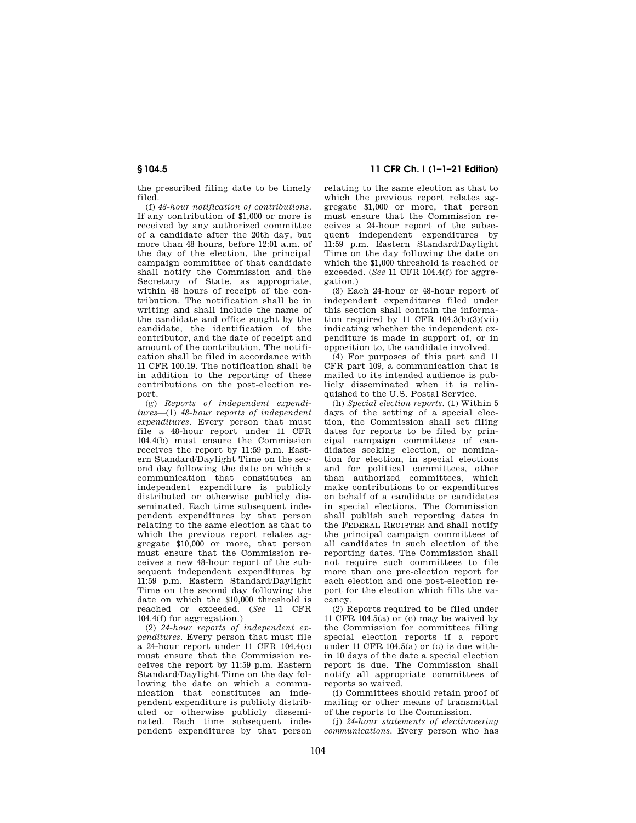the prescribed filing date to be timely filed.

(f) *48-hour notification of contributions.*  If any contribution of \$1,000 or more is received by any authorized committee of a candidate after the 20th day, but more than 48 hours, before 12:01 a.m. of the day of the election, the principal campaign committee of that candidate shall notify the Commission and the Secretary of State, as appropriate, within 48 hours of receipt of the contribution. The notification shall be in writing and shall include the name of the candidate and office sought by the candidate, the identification of the contributor, and the date of receipt and amount of the contribution. The notification shall be filed in accordance with 11 CFR 100.19. The notification shall be in addition to the reporting of these contributions on the post-election report.

(g) *Reports of independent expenditures*—(1) *48-hour reports of independent expenditures.* Every person that must file a 48-hour report under 11 CFR 104.4(b) must ensure the Commission receives the report by 11:59 p.m. Eastern Standard/Daylight Time on the second day following the date on which a communication that constitutes an independent expenditure is publicly distributed or otherwise publicly disseminated. Each time subsequent independent expenditures by that person relating to the same election as that to which the previous report relates aggregate \$10,000 or more, that person must ensure that the Commission receives a new 48-hour report of the subsequent independent expenditures by 11:59 p.m. Eastern Standard/Daylight Time on the second day following the date on which the \$10,000 threshold is reached or exceeded. (*See* 11 CFR 104.4(f) for aggregation.)

(2) *24-hour reports of independent expenditures.* Every person that must file a 24-hour report under 11 CFR 104.4(c) must ensure that the Commission receives the report by 11:59 p.m. Eastern Standard/Daylight Time on the day following the date on which a communication that constitutes an independent expenditure is publicly distributed or otherwise publicly disseminated. Each time subsequent independent expenditures by that person

**§ 104.5 11 CFR Ch. I (1–1–21 Edition)** 

relating to the same election as that to which the previous report relates aggregate \$1,000 or more, that person must ensure that the Commission receives a 24-hour report of the subsequent independent expenditures by 11:59 p.m. Eastern Standard/Daylight Time on the day following the date on which the \$1,000 threshold is reached or exceeded. (*See* 11 CFR 104.4(f) for aggregation.)

(3) Each 24-hour or 48-hour report of independent expenditures filed under this section shall contain the information required by 11 CFR  $104.3(b)(3)(vii)$ indicating whether the independent expenditure is made in support of, or in opposition to, the candidate involved.

(4) For purposes of this part and 11 CFR part 109, a communication that is mailed to its intended audience is publicly disseminated when it is relinquished to the U.S. Postal Service.

(h) *Special election reports.* (1) Within 5 days of the setting of a special election, the Commission shall set filing dates for reports to be filed by principal campaign committees of candidates seeking election, or nomination for election, in special elections and for political committees, other than authorized committees, which make contributions to or expenditures on behalf of a candidate or candidates in special elections. The Commission shall publish such reporting dates in the FEDERAL REGISTER and shall notify the principal campaign committees of all candidates in such election of the reporting dates. The Commission shall not require such committees to file more than one pre-election report for each election and one post-election report for the election which fills the vacancy.

(2) Reports required to be filed under 11 CFR 104.5(a) or (c) may be waived by the Commission for committees filing special election reports if a report under 11 CFR 104.5(a) or (c) is due within 10 days of the date a special election report is due. The Commission shall notify all appropriate committees of reports so waived.

(i) Committees should retain proof of mailing or other means of transmittal of the reports to the Commission.

(j) *24-hour statements of electioneering communications.* Every person who has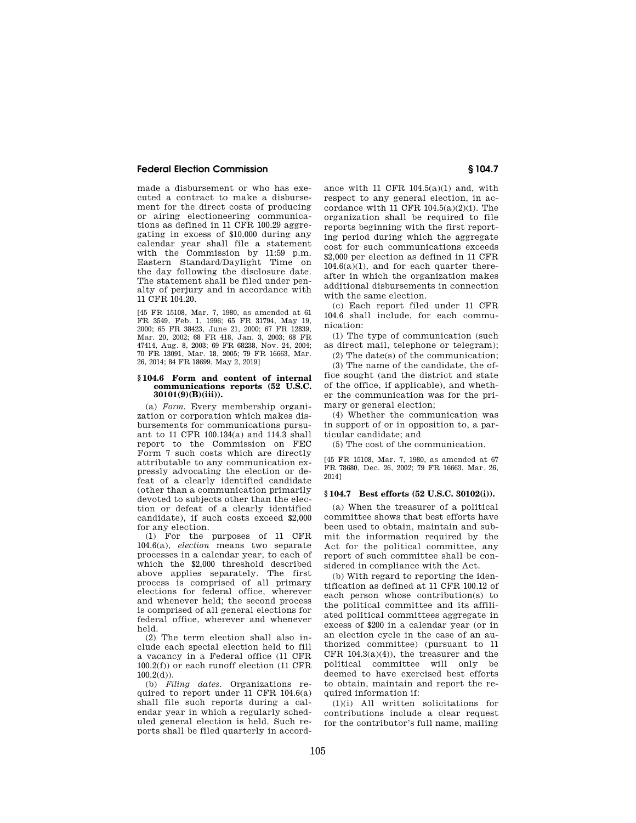made a disbursement or who has executed a contract to make a disbursement for the direct costs of producing or airing electioneering communications as defined in 11 CFR 100.29 aggregating in excess of \$10,000 during any calendar year shall file a statement with the Commission by 11:59 p.m. Eastern Standard/Daylight Time on the day following the disclosure date. The statement shall be filed under penalty of perjury and in accordance with 11 CFR 104.20.

[45 FR 15108, Mar. 7, 1980, as amended at 61 FR 3549, Feb. 1, 1996; 65 FR 31794, May 19, 2000; 65 FR 38423, June 21, 2000; 67 FR 12839, Mar. 20, 2002; 68 FR 418, Jan. 3, 2003; 68 FR 47414, Aug. 8, 2003; 69 FR 68238, Nov. 24, 2004; 70 FR 13091, Mar. 18, 2005; 79 FR 16663, Mar. 26, 2014; 84 FR 18699, May 2, 2019]

### **§ 104.6 Form and content of internal communications reports (52 U.S.C. 30101(9)(B)(iii)).**

(a) *Form.* Every membership organization or corporation which makes disbursements for communications pursuant to 11 CFR 100.134(a) and 114.3 shall report to the Commission on FEC Form 7 such costs which are directly attributable to any communication expressly advocating the election or defeat of a clearly identified candidate (other than a communication primarily devoted to subjects other than the election or defeat of a clearly identified candidate), if such costs exceed \$2,000 for any election.

(1) For the purposes of 11 CFR 104.6(a), *election* means two separate processes in a calendar year, to each of which the \$2,000 threshold described above applies separately. The first process is comprised of all primary elections for federal office, wherever and whenever held; the second process is comprised of all general elections for federal office, wherever and whenever held.

(2) The term election shall also include each special election held to fill a vacancy in a Federal office (11 CFR 100.2(f)) or each runoff election (11 CFR  $100.2(d)$ ).

(b) *Filing dates.* Organizations required to report under 11 CFR 104.6(a) shall file such reports during a calendar year in which a regularly scheduled general election is held. Such reports shall be filed quarterly in accordance with 11 CFR  $104.5(a)(1)$  and, with respect to any general election, in accordance with 11 CFR  $104.5(a)(2)(i)$ . The organization shall be required to file reports beginning with the first reporting period during which the aggregate cost for such communications exceeds \$2,000 per election as defined in 11 CFR  $104.6(a)(1)$ , and for each quarter thereafter in which the organization makes additional disbursements in connection with the same election.

(c) Each report filed under 11 CFR 104.6 shall include, for each communication:

(1) The type of communication (such as direct mail, telephone or telegram); (2) The date(s) of the communication;

(3) The name of the candidate, the office sought (and the district and state of the office, if applicable), and whether the communication was for the primary or general election;

(4) Whether the communication was in support of or in opposition to, a particular candidate; and

(5) The cost of the communication.

[45 FR 15108, Mar. 7, 1980, as amended at 67 FR 78680, Dec. 26, 2002; 79 FR 16663, Mar. 26, 2014]

### **§ 104.7 Best efforts (52 U.S.C. 30102(i)).**

(a) When the treasurer of a political committee shows that best efforts have been used to obtain, maintain and submit the information required by the Act for the political committee, any report of such committee shall be considered in compliance with the Act.

(b) With regard to reporting the identification as defined at 11 CFR 100.12 of each person whose contribution(s) to the political committee and its affiliated political committees aggregate in excess of \$200 in a calendar year (or in an election cycle in the case of an authorized committee) (pursuant to 11 CFR 104.3(a)(4)), the treasurer and the political committee will only be deemed to have exercised best efforts to obtain, maintain and report the required information if:

(1)(i) All written solicitations for contributions include a clear request for the contributor's full name, mailing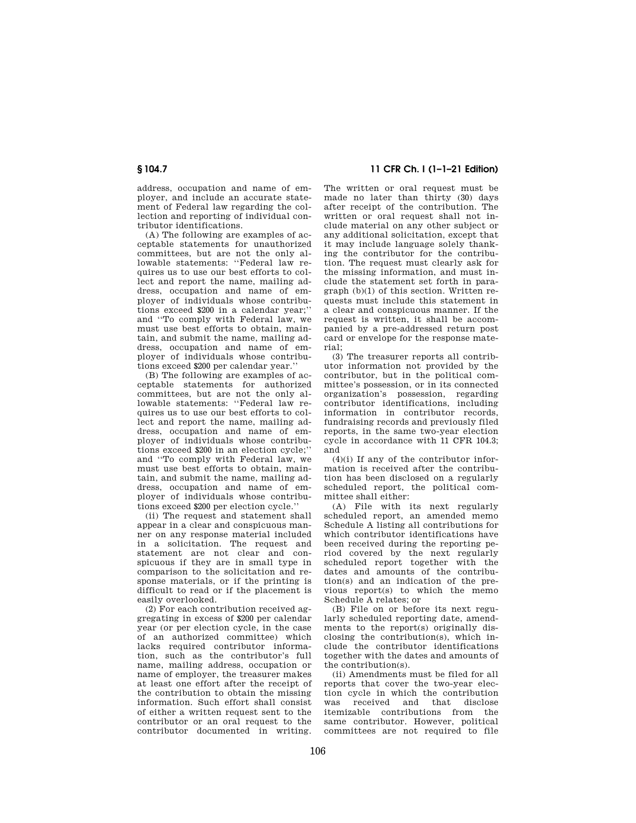address, occupation and name of employer, and include an accurate statement of Federal law regarding the collection and reporting of individual contributor identifications.

(A) The following are examples of acceptable statements for unauthorized committees, but are not the only allowable statements: ''Federal law requires us to use our best efforts to collect and report the name, mailing address, occupation and name of employer of individuals whose contributions exceed \$200 in a calendar year;'' and ''To comply with Federal law, we must use best efforts to obtain, maintain, and submit the name, mailing address, occupation and name of employer of individuals whose contributions exceed \$200 per calendar year.''

(B) The following are examples of acceptable statements for authorized committees, but are not the only allowable statements: ''Federal law requires us to use our best efforts to collect and report the name, mailing address, occupation and name of employer of individuals whose contributions exceed \$200 in an election cycle;'' and ''To comply with Federal law, we must use best efforts to obtain, maintain, and submit the name, mailing address, occupation and name of employer of individuals whose contributions exceed \$200 per election cycle.''

(ii) The request and statement shall appear in a clear and conspicuous manner on any response material included in a solicitation. The request and statement are not clear and conspicuous if they are in small type in comparison to the solicitation and response materials, or if the printing is difficult to read or if the placement is easily overlooked.

(2) For each contribution received aggregating in excess of \$200 per calendar year (or per election cycle, in the case of an authorized committee) which lacks required contributor information, such as the contributor's full name, mailing address, occupation or name of employer, the treasurer makes at least one effort after the receipt of the contribution to obtain the missing information. Such effort shall consist of either a written request sent to the contributor or an oral request to the contributor documented in writing.

# **§ 104.7 11 CFR Ch. I (1–1–21 Edition)**

The written or oral request must be made no later than thirty (30) days after receipt of the contribution. The written or oral request shall not include material on any other subject or any additional solicitation, except that it may include language solely thanking the contributor for the contribution. The request must clearly ask for the missing information, and must include the statement set forth in paragraph (b)(1) of this section. Written requests must include this statement in a clear and conspicuous manner. If the request is written, it shall be accompanied by a pre-addressed return post card or envelope for the response material;

(3) The treasurer reports all contributor information not provided by the contributor, but in the political committee's possession, or in its connected organization's possession, regarding contributor identifications, including information in contributor records, fundraising records and previously filed reports, in the same two-year election cycle in accordance with 11 CFR 104.3; and

 $(4)(i)$  If any of the contributor information is received after the contribution has been disclosed on a regularly scheduled report, the political committee shall either:

(A) File with its next regularly scheduled report, an amended memo Schedule A listing all contributions for which contributor identifications have been received during the reporting period covered by the next regularly scheduled report together with the dates and amounts of the contribution(s) and an indication of the previous report(s) to which the memo Schedule A relates; or

(B) File on or before its next regularly scheduled reporting date, amendments to the report(s) originally disclosing the contribution(s), which include the contributor identifications together with the dates and amounts of the contribution(s).

(ii) Amendments must be filed for all reports that cover the two-year election cycle in which the contribution<br>was received and that disclose received and that disclose itemizable contributions from the same contributor. However, political committees are not required to file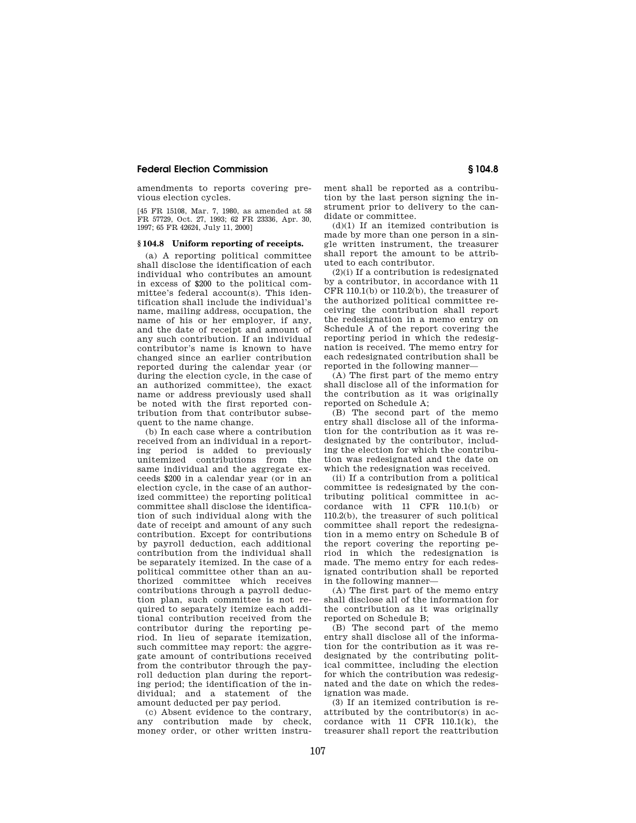amendments to reports covering previous election cycles.

[45 FR 15108, Mar. 7, 1980, as amended at 58 FR 57729, Oct. 27, 1993; 62 FR 23336, Apr. 30, 1997; 65 FR 42624, July 11, 2000]

### **§ 104.8 Uniform reporting of receipts.**

(a) A reporting political committee shall disclose the identification of each individual who contributes an amount in excess of \$200 to the political committee's federal account(s). This identification shall include the individual's name, mailing address, occupation, the name of his or her employer, if any, and the date of receipt and amount of any such contribution. If an individual contributor's name is known to have changed since an earlier contribution reported during the calendar year (or during the election cycle, in the case of an authorized committee), the exact name or address previously used shall be noted with the first reported contribution from that contributor subsequent to the name change.

(b) In each case where a contribution received from an individual in a reporting period is added to previously unitemized contributions from the same individual and the aggregate exceeds \$200 in a calendar year (or in an election cycle, in the case of an authorized committee) the reporting political committee shall disclose the identification of such individual along with the date of receipt and amount of any such contribution. Except for contributions by payroll deduction, each additional contribution from the individual shall be separately itemized. In the case of a political committee other than an authorized committee which receives contributions through a payroll deduction plan, such committee is not required to separately itemize each additional contribution received from the contributor during the reporting period. In lieu of separate itemization, such committee may report: the aggregate amount of contributions received from the contributor through the payroll deduction plan during the reporting period; the identification of the individual; and a statement of the amount deducted per pay period.

(c) Absent evidence to the contrary, any contribution made by check, money order, or other written instrument shall be reported as a contribution by the last person signing the instrument prior to delivery to the candidate or committee.

(d)(1) If an itemized contribution is made by more than one person in a single written instrument, the treasurer shall report the amount to be attributed to each contributor.

 $(2)(i)$  If a contribution is redesignated by a contributor, in accordance with 11 CFR 110.1(b) or 110.2(b), the treasurer of the authorized political committee receiving the contribution shall report the redesignation in a memo entry on Schedule A of the report covering the reporting period in which the redesignation is received. The memo entry for each redesignated contribution shall be reported in the following manner—

(A) The first part of the memo entry shall disclose all of the information for the contribution as it was originally reported on Schedule A;

(B) The second part of the memo entry shall disclose all of the information for the contribution as it was redesignated by the contributor, including the election for which the contribution was redesignated and the date on which the redesignation was received.

(ii) If a contribution from a political committee is redesignated by the contributing political committee in accordance with 11 CFR 110.1(b) or 110.2(b), the treasurer of such political committee shall report the redesignation in a memo entry on Schedule B of the report covering the reporting period in which the redesignation is made. The memo entry for each redesignated contribution shall be reported in the following manner—

(A) The first part of the memo entry shall disclose all of the information for the contribution as it was originally reported on Schedule B;

(B) The second part of the memo entry shall disclose all of the information for the contribution as it was redesignated by the contributing political committee, including the election for which the contribution was redesignated and the date on which the redesignation was made.

(3) If an itemized contribution is reattributed by the contributor(s) in accordance with 11 CFR 110.1(k), the treasurer shall report the reattribution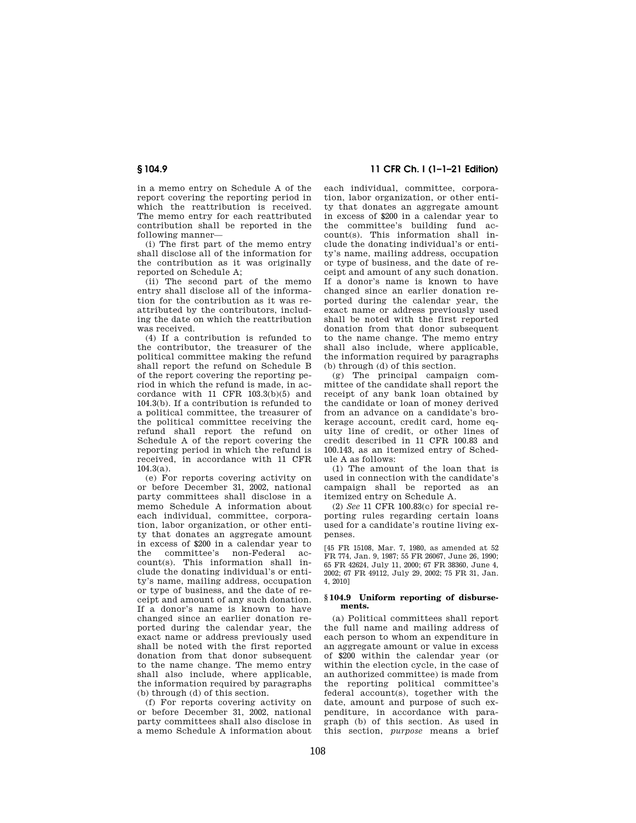in a memo entry on Schedule A of the report covering the reporting period in which the reattribution is received. The memo entry for each reattributed contribution shall be reported in the following manner—

(i) The first part of the memo entry shall disclose all of the information for the contribution as it was originally reported on Schedule A;

(ii) The second part of the memo entry shall disclose all of the information for the contribution as it was reattributed by the contributors, including the date on which the reattribution was received.

(4) If a contribution is refunded to the contributor, the treasurer of the political committee making the refund shall report the refund on Schedule B of the report covering the reporting period in which the refund is made, in accordance with 11 CFR 103.3(b)(5) and 104.3(b). If a contribution is refunded to a political committee, the treasurer of the political committee receiving the refund shall report the refund on Schedule A of the report covering the reporting period in which the refund is received, in accordance with 11 CFR 104.3(a).

(e) For reports covering activity on or before December 31, 2002, national party committees shall disclose in a memo Schedule A information about each individual, committee, corporation, labor organization, or other entity that donates an aggregate amount in excess of \$200 in a calendar year to the committee's non-Federal account(s). This information shall include the donating individual's or entity's name, mailing address, occupation or type of business, and the date of receipt and amount of any such donation. If a donor's name is known to have changed since an earlier donation reported during the calendar year, the exact name or address previously used shall be noted with the first reported donation from that donor subsequent to the name change. The memo entry shall also include, where applicable, the information required by paragraphs (b) through (d) of this section.

(f) For reports covering activity on or before December 31, 2002, national party committees shall also disclose in a memo Schedule A information about

**§ 104.9 11 CFR Ch. I (1–1–21 Edition)** 

each individual, committee, corporation, labor organization, or other entity that donates an aggregate amount in excess of \$200 in a calendar year to the committee's building fund account(s). This information shall include the donating individual's or entity's name, mailing address, occupation or type of business, and the date of receipt and amount of any such donation. If a donor's name is known to have changed since an earlier donation reported during the calendar year, the exact name or address previously used shall be noted with the first reported donation from that donor subsequent to the name change. The memo entry shall also include, where applicable, the information required by paragraphs (b) through (d) of this section.

(g) The principal campaign committee of the candidate shall report the receipt of any bank loan obtained by the candidate or loan of money derived from an advance on a candidate's brokerage account, credit card, home equity line of credit, or other lines of credit described in 11 CFR 100.83 and 100.143, as an itemized entry of Schedule A as follows:

(1) The amount of the loan that is used in connection with the candidate's campaign shall be reported as an itemized entry on Schedule A.

(2) *See* 11 CFR 100.83(c) for special reporting rules regarding certain loans used for a candidate's routine living expenses.

[45 FR 15108, Mar. 7, 1980, as amended at 52 FR 774, Jan. 9, 1987; 55 FR 26067, June 26, 1990; 65 FR 42624, July 11, 2000; 67 FR 38360, June 4, 2002; 67 FR 49112, July 29, 2002; 75 FR 31, Jan. 4, 2010]

### **§ 104.9 Uniform reporting of disbursements.**

(a) Political committees shall report the full name and mailing address of each person to whom an expenditure in an aggregate amount or value in excess of \$200 within the calendar year (or within the election cycle, in the case of an authorized committee) is made from the reporting political committee's federal account(s), together with the date, amount and purpose of such expenditure, in accordance with paragraph (b) of this section. As used in this section, *purpose* means a brief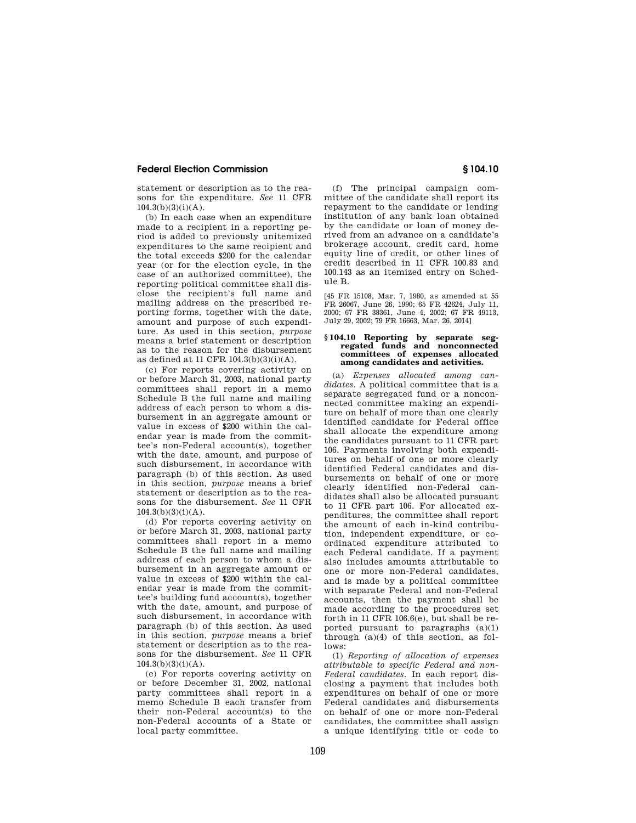statement or description as to the reasons for the expenditure. *See* 11 CFR  $104.3(b)(3)(i)(A)$ .

(b) In each case when an expenditure made to a recipient in a reporting period is added to previously unitemized expenditures to the same recipient and the total exceeds \$200 for the calendar year (or for the election cycle, in the case of an authorized committee), the reporting political committee shall disclose the recipient's full name and mailing address on the prescribed reporting forms, together with the date, amount and purpose of such expenditure. As used in this section, *purpose*  means a brief statement or description as to the reason for the disbursement as defined at 11 CFR 104.3(b)(3)(i)(A).

(c) For reports covering activity on or before March 31, 2003, national party committees shall report in a memo Schedule B the full name and mailing address of each person to whom a disbursement in an aggregate amount or value in excess of \$200 within the calendar year is made from the committee's non-Federal account(s), together with the date, amount, and purpose of such disbursement, in accordance with paragraph (b) of this section. As used in this section, *purpose* means a brief statement or description as to the reasons for the disbursement. *See* 11 CFR  $104.3(b)(3)(i)(A)$ .

(d) For reports covering activity on or before March 31, 2003, national party committees shall report in a memo Schedule B the full name and mailing address of each person to whom a disbursement in an aggregate amount or value in excess of \$200 within the calendar year is made from the committee's building fund account(s), together with the date, amount, and purpose of such disbursement, in accordance with paragraph (b) of this section. As used in this section, *purpose* means a brief statement or description as to the reasons for the disbursement. *See* 11 CFR  $104.3(b)(3)(i)(A)$ .

(e) For reports covering activity on or before December 31, 2002, national party committees shall report in a memo Schedule B each transfer from their non-Federal account(s) to the non-Federal accounts of a State or local party committee.

(f) The principal campaign committee of the candidate shall report its repayment to the candidate or lending institution of any bank loan obtained by the candidate or loan of money derived from an advance on a candidate's brokerage account, credit card, home equity line of credit, or other lines of credit described in 11 CFR 100.83 and 100.143 as an itemized entry on Schedule B.

[45 FR 15108, Mar. 7, 1980, as amended at 55 FR 26067, June 26, 1990; 65 FR 42624, July 11, 2000; 67 FR 38361, June 4, 2002; 67 FR 49113, July 29, 2002; 79 FR 16663, Mar. 26, 2014]

### **§ 104.10 Reporting by separate segregated funds and nonconnected committees of expenses allocated among candidates and activities.**

(a) *Expenses allocated among candidates.* A political committee that is a separate segregated fund or a nonconnected committee making an expenditure on behalf of more than one clearly identified candidate for Federal office shall allocate the expenditure among the candidates pursuant to 11 CFR part 106. Payments involving both expenditures on behalf of one or more clearly identified Federal candidates and disbursements on behalf of one or more clearly identified non-Federal candidates shall also be allocated pursuant to 11 CFR part 106. For allocated expenditures, the committee shall report the amount of each in-kind contribution, independent expenditure, or coordinated expenditure attributed to each Federal candidate. If a payment also includes amounts attributable to one or more non-Federal candidates, and is made by a political committee with separate Federal and non-Federal accounts, then the payment shall be made according to the procedures set forth in 11 CFR 106.6(e), but shall be reported pursuant to paragraphs (a)(1) through (a)(4) of this section, as follows:

(1) *Reporting of allocation of expenses attributable to specific Federal and non-Federal candidates.* In each report disclosing a payment that includes both expenditures on behalf of one or more Federal candidates and disbursements on behalf of one or more non-Federal candidates, the committee shall assign a unique identifying title or code to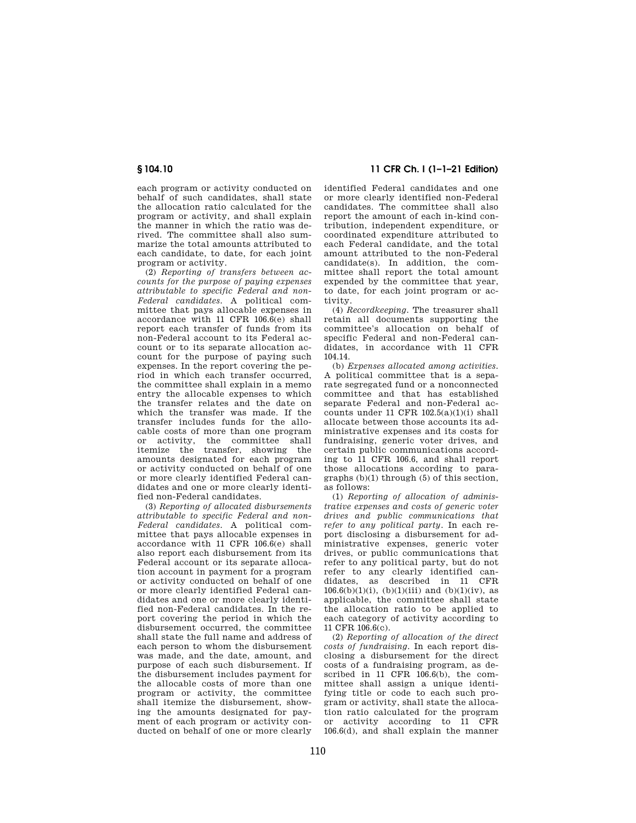each program or activity conducted on behalf of such candidates, shall state the allocation ratio calculated for the program or activity, and shall explain the manner in which the ratio was derived. The committee shall also summarize the total amounts attributed to each candidate, to date, for each joint program or activity.

(2) *Reporting of transfers between accounts for the purpose of paying expenses attributable to specific Federal and non-Federal candidates.* A political committee that pays allocable expenses in accordance with 11 CFR 106.6(e) shall report each transfer of funds from its non-Federal account to its Federal account or to its separate allocation account for the purpose of paying such expenses. In the report covering the period in which each transfer occurred, the committee shall explain in a memo entry the allocable expenses to which the transfer relates and the date on which the transfer was made. If the transfer includes funds for the allocable costs of more than one program or activity, the committee shall itemize the transfer, showing the amounts designated for each program or activity conducted on behalf of one or more clearly identified Federal candidates and one or more clearly identified non-Federal candidates.

(3) *Reporting of allocated disbursements attributable to specific Federal and non-Federal candidates.* A political committee that pays allocable expenses in accordance with 11 CFR 106.6(e) shall also report each disbursement from its Federal account or its separate allocation account in payment for a program or activity conducted on behalf of one or more clearly identified Federal candidates and one or more clearly identified non-Federal candidates. In the report covering the period in which the disbursement occurred, the committee shall state the full name and address of each person to whom the disbursement was made, and the date, amount, and purpose of each such disbursement. If the disbursement includes payment for the allocable costs of more than one program or activity, the committee shall itemize the disbursement, showing the amounts designated for payment of each program or activity conducted on behalf of one or more clearly

**§ 104.10 11 CFR Ch. I (1–1–21 Edition)** 

identified Federal candidates and one or more clearly identified non-Federal candidates. The committee shall also report the amount of each in-kind contribution, independent expenditure, or coordinated expenditure attributed to each Federal candidate, and the total amount attributed to the non-Federal candidate(s). In addition, the committee shall report the total amount expended by the committee that year, to date, for each joint program or activity.

(4) *Recordkeeping.* The treasurer shall retain all documents supporting the committee's allocation on behalf of specific Federal and non-Federal candidates, in accordance with 11 CFR 104.14.

(b) *Expenses allocated among activities.*  A political committee that is a separate segregated fund or a nonconnected committee and that has established separate Federal and non-Federal accounts under 11 CFR  $102.5(a)(1)(i)$  shall allocate between those accounts its administrative expenses and its costs for fundraising, generic voter drives, and certain public communications according to 11 CFR 106.6, and shall report those allocations according to paragraphs (b)(1) through (5) of this section, as follows:

(1) *Reporting of allocation of administrative expenses and costs of generic voter drives and public communications that refer to any political party.* In each report disclosing a disbursement for administrative expenses, generic voter drives, or public communications that refer to any political party, but do not refer to any clearly identified candidates, as described in 11 CFR  $106.6(b)(1)(i)$ , (b)(1)(iii) and (b)(1)(iv), as applicable, the committee shall state the allocation ratio to be applied to each category of activity according to 11 CFR 106.6(c).

(2) *Reporting of allocation of the direct costs of fundraising.* In each report disclosing a disbursement for the direct costs of a fundraising program, as described in 11 CFR 106.6(b), the committee shall assign a unique identifying title or code to each such program or activity, shall state the allocation ratio calculated for the program or activity according to 11 CFR 106.6(d), and shall explain the manner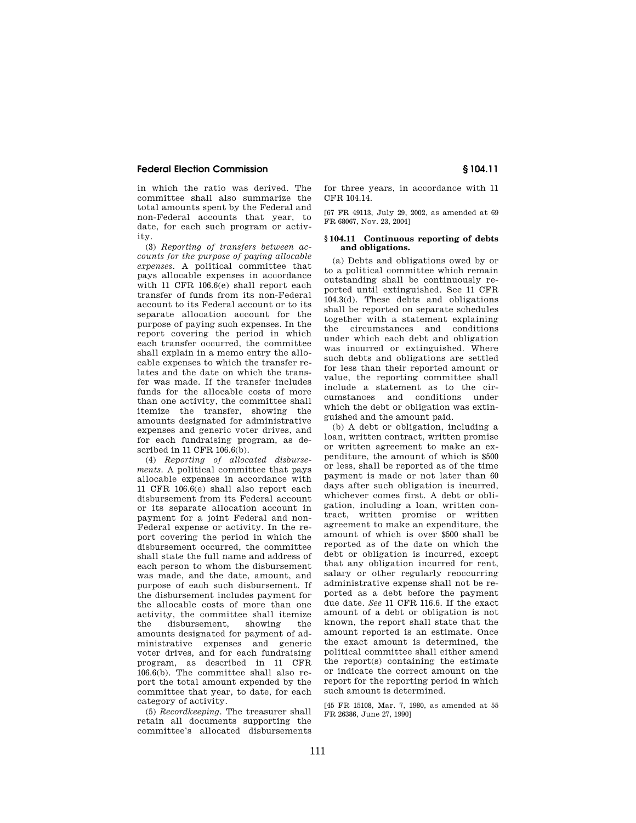in which the ratio was derived. The committee shall also summarize the total amounts spent by the Federal and non-Federal accounts that year, to date, for each such program or activity.

(3) *Reporting of transfers between accounts for the purpose of paying allocable expenses.* A political committee that pays allocable expenses in accordance with 11 CFR 106.6(e) shall report each transfer of funds from its non-Federal account to its Federal account or to its separate allocation account for the purpose of paying such expenses. In the report covering the period in which each transfer occurred, the committee shall explain in a memo entry the allocable expenses to which the transfer relates and the date on which the transfer was made. If the transfer includes funds for the allocable costs of more than one activity, the committee shall itemize the transfer, showing the amounts designated for administrative expenses and generic voter drives, and for each fundraising program, as described in 11 CFR 106.6(b).

(4) *Reporting of allocated disbursements.* A political committee that pays allocable expenses in accordance with 11 CFR 106.6(e) shall also report each disbursement from its Federal account or its separate allocation account in payment for a joint Federal and non-Federal expense or activity. In the report covering the period in which the disbursement occurred, the committee shall state the full name and address of each person to whom the disbursement was made, and the date, amount, and purpose of each such disbursement. If the disbursement includes payment for the allocable costs of more than one activity, the committee shall itemize the disbursement, showing the amounts designated for payment of administrative expenses and generic voter drives, and for each fundraising program, as described in 11 CFR 106.6(b). The committee shall also report the total amount expended by the committee that year, to date, for each category of activity.

(5) *Recordkeeping.* The treasurer shall retain all documents supporting the committee's allocated disbursements for three years, in accordance with 11 CFR 104.14.

[67 FR 49113, July 29, 2002, as amended at 69 FR 68067, Nov. 23, 2004]

### **§ 104.11 Continuous reporting of debts and obligations.**

(a) Debts and obligations owed by or to a political committee which remain outstanding shall be continuously reported until extinguished. See 11 CFR 104.3(d). These debts and obligations shall be reported on separate schedules together with a statement explaining the circumstances and conditions under which each debt and obligation was incurred or extinguished. Where such debts and obligations are settled for less than their reported amount or value, the reporting committee shall include a statement as to the circumstances and conditions under which the debt or obligation was extinguished and the amount paid.

(b) A debt or obligation, including a loan, written contract, written promise or written agreement to make an expenditure, the amount of which is \$500 or less, shall be reported as of the time payment is made or not later than 60 days after such obligation is incurred, whichever comes first. A debt or obligation, including a loan, written contract, written promise or written agreement to make an expenditure, the amount of which is over \$500 shall be reported as of the date on which the debt or obligation is incurred, except that any obligation incurred for rent, salary or other regularly reoccurring administrative expense shall not be reported as a debt before the payment due date. *See* 11 CFR 116.6. If the exact amount of a debt or obligation is not known, the report shall state that the amount reported is an estimate. Once the exact amount is determined, the political committee shall either amend the report(s) containing the estimate or indicate the correct amount on the report for the reporting period in which such amount is determined.

[45 FR 15108, Mar. 7, 1980, as amended at 55 FR 26386, June 27, 1990]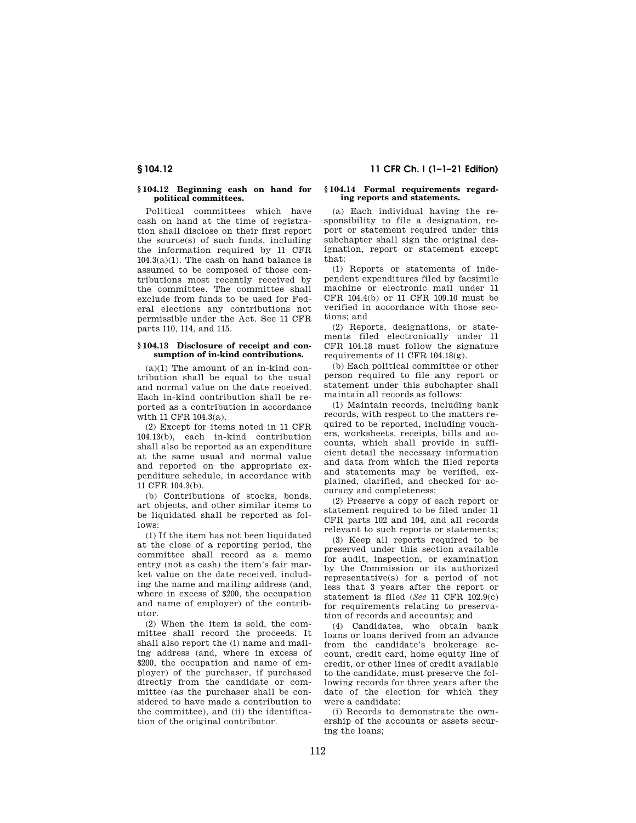## **§ 104.12 Beginning cash on hand for political committees.**

Political committees which have cash on hand at the time of registration shall disclose on their first report the source(s) of such funds, including the information required by 11 CFR  $104.3(a)(1)$ . The cash on hand balance is assumed to be composed of those contributions most recently received by the committee. The committee shall exclude from funds to be used for Federal elections any contributions not permissible under the Act. See 11 CFR parts 110, 114, and 115.

### **§ 104.13 Disclosure of receipt and consumption of in-kind contributions.**

 $(a)(1)$  The amount of an in-kind contribution shall be equal to the usual and normal value on the date received. Each in-kind contribution shall be reported as a contribution in accordance with 11 CFR 104.3(a).

(2) Except for items noted in 11 CFR 104.13(b), each in-kind contribution shall also be reported as an expenditure at the same usual and normal value and reported on the appropriate expenditure schedule, in accordance with 11 CFR 104.3(b).

(b) Contributions of stocks, bonds, art objects, and other similar items to be liquidated shall be reported as follows:

(1) If the item has not been liquidated at the close of a reporting period, the committee shall record as a memo entry (not as cash) the item's fair market value on the date received, including the name and mailing address (and, where in excess of \$200, the occupation and name of employer) of the contributor.

(2) When the item is sold, the committee shall record the proceeds. It shall also report the (i) name and mailing address (and, where in excess of \$200, the occupation and name of employer) of the purchaser, if purchased directly from the candidate or committee (as the purchaser shall be considered to have made a contribution to the committee), and (ii) the identification of the original contributor.

### **§ 104.14 Formal requirements regarding reports and statements.**

(a) Each individual having the responsibility to file a designation, report or statement required under this subchapter shall sign the original designation, report or statement except that:

(1) Reports or statements of independent expenditures filed by facsimile machine or electronic mail under 11 CFR 104.4(b) or 11 CFR 109.10 must be verified in accordance with those sections; and

(2) Reports, designations, or statements filed electronically under 11 CFR 104.18 must follow the signature requirements of 11 CFR 104.18(g).

(b) Each political committee or other person required to file any report or statement under this subchapter shall maintain all records as follows:

(1) Maintain records, including bank records, with respect to the matters required to be reported, including vouchers, worksheets, receipts, bills and accounts, which shall provide in sufficient detail the necessary information and data from which the filed reports and statements may be verified, explained, clarified, and checked for accuracy and completeness;

(2) Preserve a copy of each report or statement required to be filed under 11 CFR parts 102 and 104, and all records relevant to such reports or statements;

(3) Keep all reports required to be preserved under this section available for audit, inspection, or examination by the Commission or its authorized representative(s) for a period of not less that 3 years after the report or statement is filed (*See* 11 CFR 102.9(c) for requirements relating to preservation of records and accounts); and

(4) Candidates, who obtain bank loans or loans derived from an advance from the candidate's brokerage account, credit card, home equity line of credit, or other lines of credit available to the candidate, must preserve the following records for three years after the date of the election for which they were a candidate:

(i) Records to demonstrate the ownership of the accounts or assets securing the loans;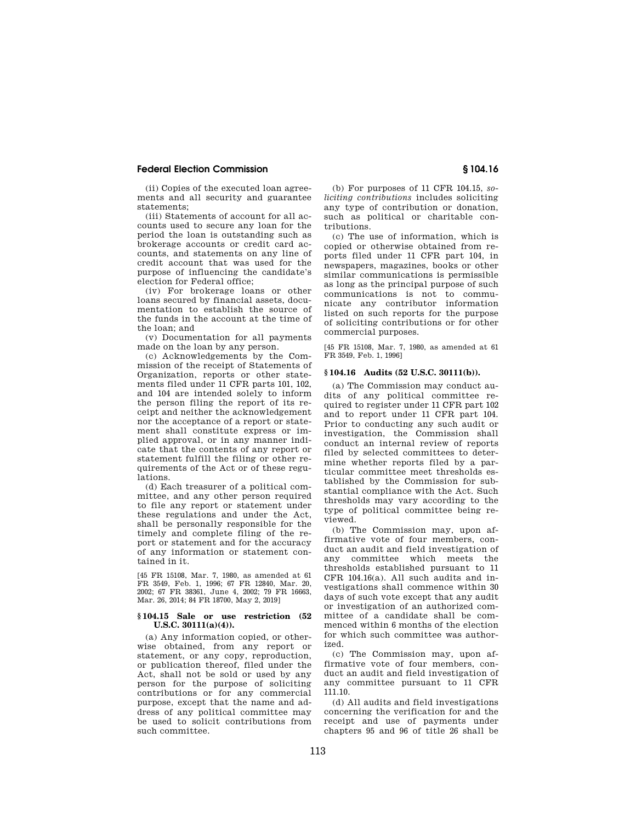(ii) Copies of the executed loan agreements and all security and guarantee statements;

(iii) Statements of account for all accounts used to secure any loan for the period the loan is outstanding such as brokerage accounts or credit card accounts, and statements on any line of credit account that was used for the purpose of influencing the candidate's election for Federal office;

(iv) For brokerage loans or other loans secured by financial assets, documentation to establish the source of the funds in the account at the time of the loan; and

(v) Documentation for all payments made on the loan by any person.

(c) Acknowledgements by the Commission of the receipt of Statements of Organization, reports or other statements filed under 11 CFR parts 101, 102, and 104 are intended solely to inform the person filing the report of its receipt and neither the acknowledgement nor the acceptance of a report or statement shall constitute express or implied approval, or in any manner indicate that the contents of any report or statement fulfill the filing or other requirements of the Act or of these regulations.

(d) Each treasurer of a political committee, and any other person required to file any report or statement under these regulations and under the Act, shall be personally responsible for the timely and complete filing of the report or statement and for the accuracy of any information or statement contained in it.

[45 FR 15108, Mar. 7, 1980, as amended at 61 FR 3549, Feb. 1, 1996; 67 FR 12840, Mar. 20, 2002; 67 FR 38361, June 4, 2002; 79 FR 16663, Mar. 26, 2014; 84 FR 18700, May 2, 2019]

### **§ 104.15 Sale or use restriction (52 U.S.C. 30111(a)(4)).**

(a) Any information copied, or otherwise obtained, from any report or statement, or any copy, reproduction, or publication thereof, filed under the Act, shall not be sold or used by any person for the purpose of soliciting contributions or for any commercial purpose, except that the name and address of any political committee may be used to solicit contributions from such committee.

(b) For purposes of 11 CFR 104.15, *soliciting contributions* includes soliciting any type of contribution or donation, such as political or charitable contributions.

(c) The use of information, which is copied or otherwise obtained from reports filed under 11 CFR part 104, in newspapers, magazines, books or other similar communications is permissible as long as the principal purpose of such communications is not to communicate any contributor information listed on such reports for the purpose of soliciting contributions or for other commercial purposes.

[45 FR 15108, Mar. 7, 1980, as amended at 61 FR 3549, Feb. 1, 1996]

## **§ 104.16 Audits (52 U.S.C. 30111(b)).**

(a) The Commission may conduct audits of any political committee required to register under 11 CFR part 102 and to report under 11 CFR part 104. Prior to conducting any such audit or investigation, the Commission shall conduct an internal review of reports filed by selected committees to determine whether reports filed by a particular committee meet thresholds established by the Commission for substantial compliance with the Act. Such thresholds may vary according to the type of political committee being reviewed.

(b) The Commission may, upon affirmative vote of four members, conduct an audit and field investigation of any committee which meets the thresholds established pursuant to 11 CFR 104.16(a). All such audits and investigations shall commence within 30 days of such vote except that any audit or investigation of an authorized committee of a candidate shall be commenced within 6 months of the election for which such committee was authorized.

(c) The Commission may, upon affirmative vote of four members, conduct an audit and field investigation of any committee pursuant to 11 CFR 111.10.

(d) All audits and field investigations concerning the verification for and the receipt and use of payments under chapters 95 and 96 of title 26 shall be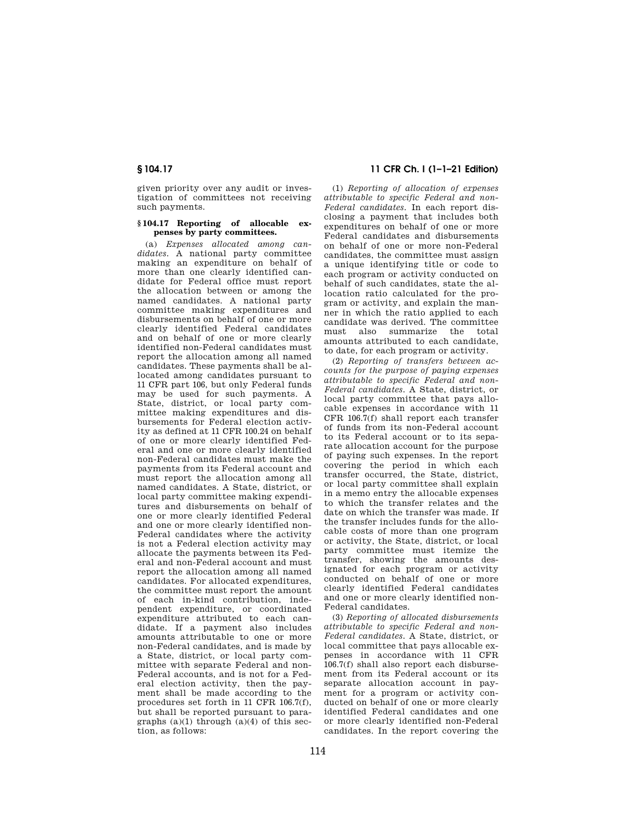given priority over any audit or investigation of committees not receiving such payments.

## **§ 104.17 Reporting of allocable expenses by party committees.**

(a) *Expenses allocated among candidates.* A national party committee making an expenditure on behalf of more than one clearly identified candidate for Federal office must report the allocation between or among the named candidates. A national party committee making expenditures and disbursements on behalf of one or more clearly identified Federal candidates and on behalf of one or more clearly identified non-Federal candidates must report the allocation among all named candidates. These payments shall be allocated among candidates pursuant to 11 CFR part 106, but only Federal funds may be used for such payments. A State, district, or local party committee making expenditures and disbursements for Federal election activity as defined at 11 CFR 100.24 on behalf of one or more clearly identified Federal and one or more clearly identified non-Federal candidates must make the payments from its Federal account and must report the allocation among all named candidates. A State, district, or local party committee making expenditures and disbursements on behalf of one or more clearly identified Federal and one or more clearly identified non-Federal candidates where the activity is not a Federal election activity may allocate the payments between its Federal and non-Federal account and must report the allocation among all named candidates. For allocated expenditures, the committee must report the amount of each in-kind contribution, independent expenditure, or coordinated expenditure attributed to each candidate. If a payment also includes amounts attributable to one or more non-Federal candidates, and is made by a State, district, or local party committee with separate Federal and non-Federal accounts, and is not for a Federal election activity, then the payment shall be made according to the procedures set forth in 11 CFR 106.7(f), but shall be reported pursuant to paragraphs  $(a)(1)$  through  $(a)(4)$  of this section, as follows:

# **§ 104.17 11 CFR Ch. I (1–1–21 Edition)**

(1) *Reporting of allocation of expenses attributable to specific Federal and non-Federal candidates.* In each report disclosing a payment that includes both expenditures on behalf of one or more Federal candidates and disbursements on behalf of one or more non-Federal candidates, the committee must assign a unique identifying title or code to each program or activity conducted on behalf of such candidates, state the allocation ratio calculated for the program or activity, and explain the manner in which the ratio applied to each candidate was derived. The committee must also summarize the total amounts attributed to each candidate, to date, for each program or activity.

(2) *Reporting of transfers between accounts for the purpose of paying expenses attributable to specific Federal and non-Federal candidates.* A State, district, or local party committee that pays allocable expenses in accordance with 11 CFR 106.7(f) shall report each transfer of funds from its non-Federal account to its Federal account or to its separate allocation account for the purpose of paying such expenses. In the report covering the period in which each transfer occurred, the State, district, or local party committee shall explain in a memo entry the allocable expenses to which the transfer relates and the date on which the transfer was made. If the transfer includes funds for the allocable costs of more than one program or activity, the State, district, or local party committee must itemize the transfer, showing the amounts designated for each program or activity conducted on behalf of one or more clearly identified Federal candidates and one or more clearly identified non-Federal candidates.

(3) *Reporting of allocated disbursements attributable to specific Federal and non-Federal candidates.* A State, district, or local committee that pays allocable expenses in accordance with 11 CFR 106.7(f) shall also report each disbursement from its Federal account or its separate allocation account in payment for a program or activity conducted on behalf of one or more clearly identified Federal candidates and one or more clearly identified non-Federal candidates. In the report covering the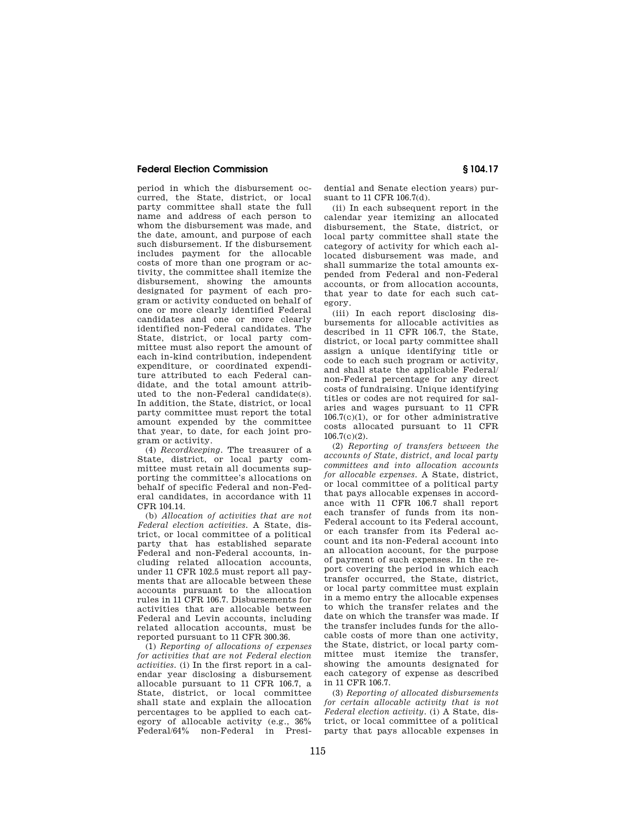period in which the disbursement occurred, the State, district, or local party committee shall state the full name and address of each person to whom the disbursement was made, and the date, amount, and purpose of each such disbursement. If the disbursement includes payment for the allocable costs of more than one program or activity, the committee shall itemize the disbursement, showing the amounts designated for payment of each program or activity conducted on behalf of one or more clearly identified Federal candidates and one or more clearly identified non-Federal candidates. The State, district, or local party committee must also report the amount of each in-kind contribution, independent expenditure, or coordinated expenditure attributed to each Federal candidate, and the total amount attributed to the non-Federal candidate(s). In addition, the State, district, or local party committee must report the total amount expended by the committee that year, to date, for each joint program or activity.

(4) *Recordkeeping.* The treasurer of a State, district, or local party committee must retain all documents supporting the committee's allocations on behalf of specific Federal and non-Federal candidates, in accordance with 11 CFR 104.14.

(b) *Allocation of activities that are not Federal election activities.* A State, district, or local committee of a political party that has established separate Federal and non-Federal accounts, including related allocation accounts, under 11 CFR 102.5 must report all payments that are allocable between these accounts pursuant to the allocation rules in 11 CFR 106.7. Disbursements for activities that are allocable between Federal and Levin accounts, including related allocation accounts, must be reported pursuant to 11 CFR 300.36.

(1) *Reporting of allocations of expenses for activities that are not Federal election activities.* (i) In the first report in a calendar year disclosing a disbursement allocable pursuant to 11 CFR 106.7, a State, district, or local committee shall state and explain the allocation percentages to be applied to each category of allocable activity (e.g., 36% Federal/64% non-Federal in Presi-

dential and Senate election years) pursuant to 11 CFR 106.7(d).

(ii) In each subsequent report in the calendar year itemizing an allocated disbursement, the State, district, or local party committee shall state the category of activity for which each allocated disbursement was made, and shall summarize the total amounts expended from Federal and non-Federal accounts, or from allocation accounts, that year to date for each such category.

(iii) In each report disclosing disbursements for allocable activities as described in 11 CFR 106.7, the State, district, or local party committee shall assign a unique identifying title or code to each such program or activity, and shall state the applicable Federal/ non-Federal percentage for any direct costs of fundraising. Unique identifying titles or codes are not required for salaries and wages pursuant to 11 CFR 106.7(c)(1), or for other administrative costs allocated pursuant to 11 CFR 106.7(c)(2).

(2) *Reporting of transfers between the accounts of State, district, and local party committees and into allocation accounts for allocable expenses.* A State, district, or local committee of a political party that pays allocable expenses in accordance with 11 CFR 106.7 shall report each transfer of funds from its non-Federal account to its Federal account, or each transfer from its Federal account and its non-Federal account into an allocation account, for the purpose of payment of such expenses. In the report covering the period in which each transfer occurred, the State, district, or local party committee must explain in a memo entry the allocable expenses to which the transfer relates and the date on which the transfer was made. If the transfer includes funds for the allocable costs of more than one activity, the State, district, or local party committee must itemize the transfer, showing the amounts designated for each category of expense as described in 11 CFR 106.7.

(3) *Reporting of allocated disbursements for certain allocable activity that is not Federal election activity.* (i) A State, district, or local committee of a political party that pays allocable expenses in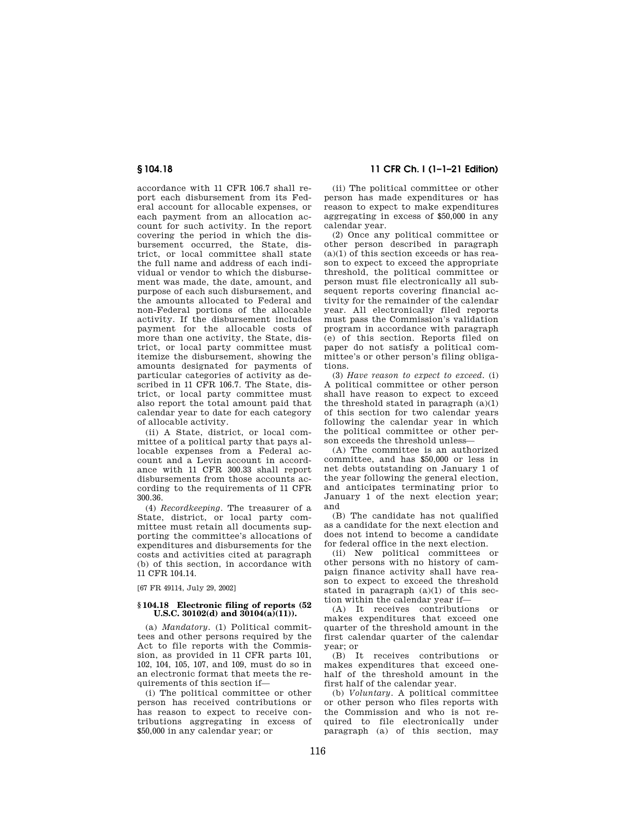accordance with 11 CFR 106.7 shall report each disbursement from its Federal account for allocable expenses, or each payment from an allocation account for such activity. In the report covering the period in which the disbursement occurred, the State, district, or local committee shall state the full name and address of each individual or vendor to which the disbursement was made, the date, amount, and purpose of each such disbursement, and the amounts allocated to Federal and non-Federal portions of the allocable activity. If the disbursement includes payment for the allocable costs of more than one activity, the State, district, or local party committee must itemize the disbursement, showing the amounts designated for payments of particular categories of activity as described in 11 CFR 106.7. The State, district, or local party committee must also report the total amount paid that calendar year to date for each category of allocable activity.

(ii) A State, district, or local committee of a political party that pays allocable expenses from a Federal account and a Levin account in accordance with 11 CFR 300.33 shall report disbursements from those accounts according to the requirements of 11 CFR 300.36.

(4) *Recordkeeping.* The treasurer of a State, district, or local party committee must retain all documents supporting the committee's allocations of expenditures and disbursements for the costs and activities cited at paragraph (b) of this section, in accordance with 11 CFR 104.14.

[67 FR 49114, July 29, 2002]

### **§ 104.18 Electronic filing of reports (52 U.S.C.** 30102(d) and 30104(a)(11)).

(a) *Mandatory.* (1) Political committees and other persons required by the Act to file reports with the Commission, as provided in 11 CFR parts 101, 102, 104, 105, 107, and 109, must do so in an electronic format that meets the requirements of this section if—

(i) The political committee or other person has received contributions or has reason to expect to receive contributions aggregating in excess of \$50,000 in any calendar year; or

**§ 104.18 11 CFR Ch. I (1–1–21 Edition)** 

(ii) The political committee or other person has made expenditures or has reason to expect to make expenditures aggregating in excess of \$50,000 in any calendar year.

(2) Once any political committee or other person described in paragraph  $(a)(1)$  of this section exceeds or has reason to expect to exceed the appropriate threshold, the political committee or person must file electronically all subsequent reports covering financial activity for the remainder of the calendar year. All electronically filed reports must pass the Commission's validation program in accordance with paragraph (e) of this section. Reports filed on paper do not satisfy a political committee's or other person's filing obligations.

(3) *Have reason to expect to exceed.* (i) A political committee or other person shall have reason to expect to exceed the threshold stated in paragraph  $(a)(1)$ of this section for two calendar years following the calendar year in which the political committee or other person exceeds the threshold unless—

(A) The committee is an authorized committee, and has \$50,000 or less in net debts outstanding on January 1 of the year following the general election, and anticipates terminating prior to January 1 of the next election year; and

(B) The candidate has not qualified as a candidate for the next election and does not intend to become a candidate for federal office in the next election.

(ii) New political committees or other persons with no history of campaign finance activity shall have reason to expect to exceed the threshold stated in paragraph  $(a)(1)$  of this section within the calendar year if—

(A) It receives contributions or makes expenditures that exceed one quarter of the threshold amount in the first calendar quarter of the calendar year; or

(B) It receives contributions or makes expenditures that exceed onehalf of the threshold amount in the first half of the calendar year.

(b) *Voluntary.* A political committee or other person who files reports with the Commission and who is not required to file electronically under paragraph (a) of this section, may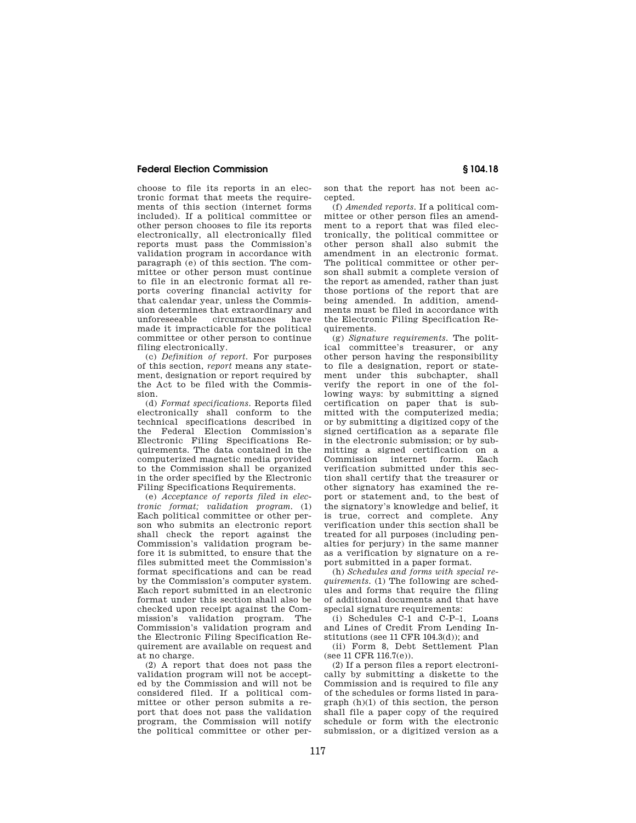choose to file its reports in an electronic format that meets the requirements of this section (internet forms included). If a political committee or other person chooses to file its reports electronically, all electronically filed reports must pass the Commission's validation program in accordance with paragraph (e) of this section. The committee or other person must continue to file in an electronic format all reports covering financial activity for that calendar year, unless the Commission determines that extraordinary and<br>unforeseeable circumstances have circumstances made it impracticable for the political committee or other person to continue filing electronically.

(c) *Definition of report.* For purposes of this section, *report* means any statement, designation or report required by the Act to be filed with the Commission.

(d) *Format specifications.* Reports filed electronically shall conform to the technical specifications described in the Federal Election Commission's Electronic Filing Specifications Requirements. The data contained in the computerized magnetic media provided to the Commission shall be organized in the order specified by the Electronic Filing Specifications Requirements.

(e) *Acceptance of reports filed in electronic format; validation program.* (1) Each political committee or other person who submits an electronic report shall check the report against the Commission's validation program before it is submitted, to ensure that the files submitted meet the Commission's format specifications and can be read by the Commission's computer system. Each report submitted in an electronic format under this section shall also be checked upon receipt against the Commission's validation program. The Commission's validation program and the Electronic Filing Specification Requirement are available on request and at no charge.

(2) A report that does not pass the validation program will not be accepted by the Commission and will not be considered filed. If a political committee or other person submits a report that does not pass the validation program, the Commission will notify the political committee or other person that the report has not been accepted.

(f) *Amended reports.* If a political committee or other person files an amendment to a report that was filed electronically, the political committee or other person shall also submit the amendment in an electronic format. The political committee or other person shall submit a complete version of the report as amended, rather than just those portions of the report that are being amended. In addition, amendments must be filed in accordance with the Electronic Filing Specification Requirements.

(g) *Signature requirements.* The political committee's treasurer, or any other person having the responsibility to file a designation, report or statement under this subchapter, shall verify the report in one of the following ways: by submitting a signed certification on paper that is submitted with the computerized media; or by submitting a digitized copy of the signed certification as a separate file in the electronic submission; or by submitting a signed certification on a Commission internet form. Each verification submitted under this section shall certify that the treasurer or other signatory has examined the report or statement and, to the best of the signatory's knowledge and belief, it is true, correct and complete. Any verification under this section shall be treated for all purposes (including penalties for perjury) in the same manner as a verification by signature on a report submitted in a paper format.

(h) *Schedules and forms with special requirements.* (1) The following are schedules and forms that require the filing of additional documents and that have special signature requirements:

(i) Schedules C-1 and C-P–1, Loans and Lines of Credit From Lending Institutions (see 11 CFR 104.3(d)); and

(ii) Form 8, Debt Settlement Plan (see 11 CFR 116.7(e)).

(2) If a person files a report electronically by submitting a diskette to the Commission and is required to file any of the schedules or forms listed in paragraph (h)(1) of this section, the person shall file a paper copy of the required schedule or form with the electronic submission, or a digitized version as a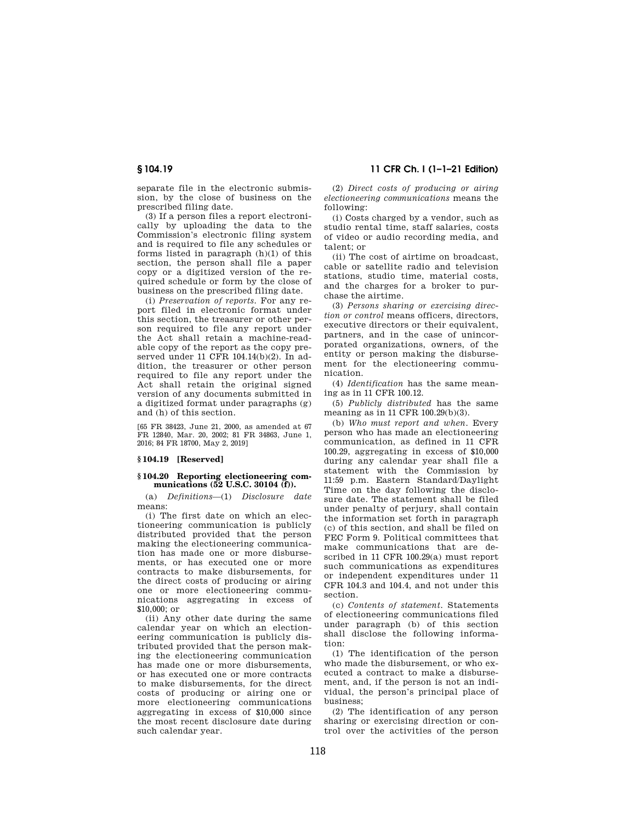separate file in the electronic submission, by the close of business on the prescribed filing date.

(3) If a person files a report electronically by uploading the data to the Commission's electronic filing system and is required to file any schedules or forms listed in paragraph (h)(1) of this section, the person shall file a paper copy or a digitized version of the required schedule or form by the close of business on the prescribed filing date.

(i) *Preservation of reports.* For any report filed in electronic format under this section, the treasurer or other person required to file any report under the Act shall retain a machine-readable copy of the report as the copy preserved under 11 CFR 104.14(b)(2). In addition, the treasurer or other person required to file any report under the Act shall retain the original signed version of any documents submitted in a digitized format under paragraphs (g) and (h) of this section.

[65 FR 38423, June 21, 2000, as amended at 67 FR 12840, Mar. 20, 2002; 81 FR 34863, June 1, 2016; 84 FR 18700, May 2, 2019]

### **§ 104.19 [Reserved]**

### **§ 104.20 Reporting electioneering communications (52 U.S.C. 30104 (f)).**

(a) *Definitions*—(1) *Disclosure date*  means:

(i) The first date on which an electioneering communication is publicly distributed provided that the person making the electioneering communication has made one or more disbursements, or has executed one or more contracts to make disbursements, for the direct costs of producing or airing one or more electioneering communications aggregating in excess of  $$10,000$ ; or

(ii) Any other date during the same calendar year on which an electioneering communication is publicly distributed provided that the person making the electioneering communication has made one or more disbursements or has executed one or more contracts to make disbursements, for the direct costs of producing or airing one or more electioneering communications aggregating in excess of \$10,000 since the most recent disclosure date during such calendar year.

**§ 104.19 11 CFR Ch. I (1–1–21 Edition)** 

(2) *Direct costs of producing or airing electioneering communications* means the following:

(i) Costs charged by a vendor, such as studio rental time, staff salaries, costs of video or audio recording media, and talent; or

(ii) The cost of airtime on broadcast, cable or satellite radio and television stations, studio time, material costs, and the charges for a broker to purchase the airtime.

(3) *Persons sharing or exercising direction or control* means officers, directors, executive directors or their equivalent, partners, and in the case of unincorporated organizations, owners, of the entity or person making the disbursement for the electioneering communication.

(4) *Identification* has the same meaning as in 11 CFR 100.12.

(5) *Publicly distributed* has the same meaning as in 11 CFR 100.29(b)(3).

(b) *Who must report and when.* Every person who has made an electioneering communication, as defined in 11 CFR 100.29, aggregating in excess of \$10,000 during any calendar year shall file a statement with the Commission by 11:59 p.m. Eastern Standard/Daylight Time on the day following the disclosure date. The statement shall be filed under penalty of perjury, shall contain the information set forth in paragraph (c) of this section, and shall be filed on FEC Form 9. Political committees that make communications that are described in 11 CFR 100.29(a) must report such communications as expenditures or independent expenditures under 11 CFR 104.3 and 104.4, and not under this section.

(c) *Contents of statement.* Statements of electioneering communications filed under paragraph (b) of this section shall disclose the following information:

(1) The identification of the person who made the disbursement, or who executed a contract to make a disbursement, and, if the person is not an individual, the person's principal place of business;

(2) The identification of any person sharing or exercising direction or control over the activities of the person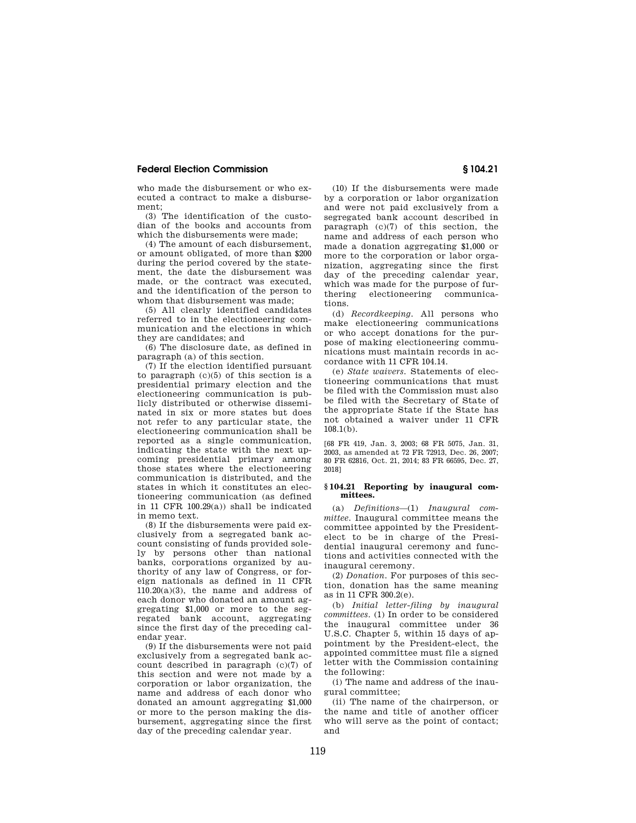who made the disbursement or who executed a contract to make a disbursement;

(3) The identification of the custodian of the books and accounts from which the disbursements were made;

(4) The amount of each disbursement, or amount obligated, of more than \$200 during the period covered by the statement, the date the disbursement was made, or the contract was executed, and the identification of the person to whom that disbursement was made;

(5) All clearly identified candidates referred to in the electioneering communication and the elections in which they are candidates; and

(6) The disclosure date, as defined in paragraph (a) of this section.

(7) If the election identified pursuant to paragraph  $(c)(5)$  of this section is a presidential primary election and the electioneering communication is publicly distributed or otherwise disseminated in six or more states but does not refer to any particular state, the electioneering communication shall be reported as a single communication, indicating the state with the next upcoming presidential primary among those states where the electioneering communication is distributed, and the states in which it constitutes an electioneering communication (as defined in 11 CFR 100.29(a)) shall be indicated in memo text.

(8) If the disbursements were paid exclusively from a segregated bank account consisting of funds provided solely by persons other than national banks, corporations organized by authority of any law of Congress, or foreign nationals as defined in 11 CFR  $110.20(a)(3)$ , the name and address of each donor who donated an amount aggregating \$1,000 or more to the segregated bank account, aggregating since the first day of the preceding calendar year.

(9) If the disbursements were not paid exclusively from a segregated bank account described in paragraph (c)(7) of this section and were not made by a corporation or labor organization, the name and address of each donor who donated an amount aggregating \$1,000 or more to the person making the disbursement, aggregating since the first day of the preceding calendar year.

(10) If the disbursements were made by a corporation or labor organization and were not paid exclusively from a segregated bank account described in paragraph (c)(7) of this section, the name and address of each person who made a donation aggregating \$1,000 or more to the corporation or labor organization, aggregating since the first day of the preceding calendar year, which was made for the purpose of furthering electioneering communications.

(d) *Recordkeeping.* All persons who make electioneering communications or who accept donations for the purpose of making electioneering communications must maintain records in accordance with 11 CFR 104.14.

(e) *State waivers.* Statements of electioneering communications that must be filed with the Commission must also be filed with the Secretary of State of the appropriate State if the State has not obtained a waiver under 11 CFR  $108.1(h)$ .

[68 FR 419, Jan. 3, 2003; 68 FR 5075, Jan. 31, 2003, as amended at 72 FR 72913, Dec. 26, 2007; 80 FR 62816, Oct. 21, 2014; 83 FR 66595, Dec. 27, 2018]

### **§ 104.21 Reporting by inaugural committees.**

(a) *Definitions*—(1) *Inaugural committee.* Inaugural committee means the committee appointed by the Presidentelect to be in charge of the Presidential inaugural ceremony and functions and activities connected with the inaugural ceremony.

(2) *Donation.* For purposes of this section, donation has the same meaning as in 11 CFR 300.2(e).

(b) *Initial letter-filing by inaugural committees.* (1) In order to be considered the inaugural committee under 36 U.S.C. Chapter 5, within 15 days of appointment by the President-elect, the appointed committee must file a signed letter with the Commission containing the following:

(i) The name and address of the inaugural committee;

(ii) The name of the chairperson, or the name and title of another officer who will serve as the point of contact; and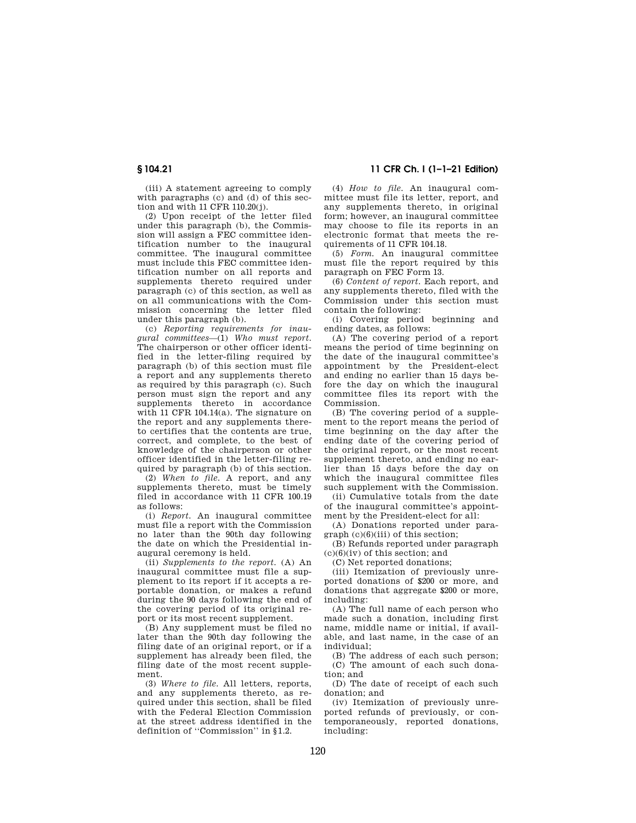(iii) A statement agreeing to comply with paragraphs (c) and (d) of this section and with 11 CFR 110.20(j).

(2) Upon receipt of the letter filed under this paragraph (b), the Commission will assign a FEC committee identification number to the inaugural committee. The inaugural committee must include this FEC committee identification number on all reports and supplements thereto required under paragraph (c) of this section, as well as on all communications with the Commission concerning the letter filed under this paragraph (b).

(c) *Reporting requirements for inaugural committees*—(1) *Who must report.*  The chairperson or other officer identified in the letter-filing required by paragraph (b) of this section must file a report and any supplements thereto as required by this paragraph (c). Such person must sign the report and any supplements thereto in accordance with 11 CFR 104.14(a). The signature on the report and any supplements thereto certifies that the contents are true, correct, and complete, to the best of knowledge of the chairperson or other officer identified in the letter-filing required by paragraph (b) of this section.

(2) *When to file.* A report, and any supplements thereto, must be timely filed in accordance with 11 CFR 100.19 as follows:

(i) *Report.* An inaugural committee must file a report with the Commission no later than the 90th day following the date on which the Presidential inaugural ceremony is held.

(ii) *Supplements to the report.* (A) An inaugural committee must file a supplement to its report if it accepts a reportable donation, or makes a refund during the 90 days following the end of the covering period of its original report or its most recent supplement.

(B) Any supplement must be filed no later than the 90th day following the filing date of an original report, or if a supplement has already been filed, the filing date of the most recent supplement.

(3) *Where to file.* All letters, reports, and any supplements thereto, as required under this section, shall be filed with the Federal Election Commission at the street address identified in the definition of ''Commission'' in §1.2.

**§ 104.21 11 CFR Ch. I (1–1–21 Edition)** 

(4) *How to file.* An inaugural committee must file its letter, report, and any supplements thereto, in original form; however, an inaugural committee may choose to file its reports in an electronic format that meets the requirements of 11 CFR 104.18.

(5) *Form.* An inaugural committee must file the report required by this paragraph on FEC Form 13.

(6) *Content of report.* Each report, and any supplements thereto, filed with the Commission under this section must contain the following:

(i) Covering period beginning and ending dates, as follows:

(A) The covering period of a report means the period of time beginning on the date of the inaugural committee's appointment by the President-elect and ending no earlier than 15 days before the day on which the inaugural committee files its report with the Commission.

(B) The covering period of a supplement to the report means the period of time beginning on the day after the ending date of the covering period of the original report, or the most recent supplement thereto, and ending no earlier than 15 days before the day on which the inaugural committee files such supplement with the Commission.

(ii) Cumulative totals from the date of the inaugural committee's appointment by the President-elect for all:

(A) Donations reported under paragraph (c)(6)(iii) of this section;

(B) Refunds reported under paragraph (c)(6)(iv) of this section; and

(C) Net reported donations;

(iii) Itemization of previously unreported donations of \$200 or more, and donations that aggregate \$200 or more, including:

(A) The full name of each person who made such a donation, including first name, middle name or initial, if available, and last name, in the case of an individual;

(B) The address of each such person; (C) The amount of each such donation; and

(D) The date of receipt of each such donation; and

(iv) Itemization of previously unreported refunds of previously, or contemporaneously, reported donations, including: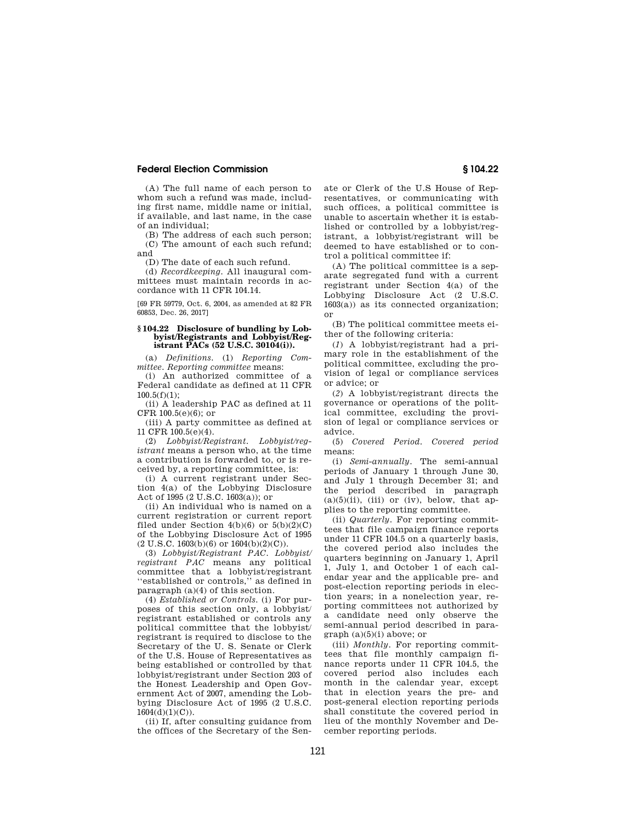(A) The full name of each person to whom such a refund was made, including first name, middle name or initial, if available, and last name, in the case of an individual;

(B) The address of each such person; (C) The amount of each such refund; and

(D) The date of each such refund.

(d) *Recordkeeping.* All inaugural committees must maintain records in accordance with 11 CFR 104.14.

[69 FR 59779, Oct. 6, 2004, as amended at 82 FR 60853, Dec. 26, 2017]

### **§ 104.22 Disclosure of bundling by Lobbyist/Registrants and Lobbyist/Registrant PACs (52 U.S.C. 30104(i)).**

(a) *Definitions.* (1) *Reporting Committee. Reporting committee* means:

(i) An authorized committee of a Federal candidate as defined at 11 CFR  $100.5(f)(1)$ ;

(ii) A leadership PAC as defined at 11 CFR 100.5(e)(6); or

(iii) A party committee as defined at 11 CFR 100.5(e)(4).

(2) *Lobbyist/Registrant. Lobbyist/registrant* means a person who, at the time a contribution is forwarded to, or is received by, a reporting committee, is:

(i) A current registrant under Section 4(a) of the Lobbying Disclosure Act of 1995 (2 U.S.C. 1603(a)); or

(ii) An individual who is named on a current registration or current report filed under Section  $4(b)(6)$  or  $5(b)(2)(C)$ of the Lobbying Disclosure Act of 1995  $(2 U.S.C. 1603(b)(6) or 1604(b)(2)(C)).$ 

(3) *Lobbyist/Registrant PAC. Lobbyist/ registrant PAC* means any political committee that a lobbyist/registrant ''established or controls,'' as defined in paragraph (a)(4) of this section.

(4) *Established or Controls.* (i) For purposes of this section only, a lobbyist/ registrant established or controls any political committee that the lobbyist/ registrant is required to disclose to the Secretary of the U. S. Senate or Clerk of the U.S. House of Representatives as being established or controlled by that lobbyist/registrant under Section 203 of the Honest Leadership and Open Government Act of 2007, amending the Lobbying Disclosure Act of 1995 (2 U.S.C. 1604(d)(1)(C)).

(ii) If, after consulting guidance from the offices of the Secretary of the Senate or Clerk of the U.S House of Representatives, or communicating with such offices, a political committee is unable to ascertain whether it is established or controlled by a lobbyist/registrant, a lobbyist/registrant will be deemed to have established or to control a political committee if:

(A) The political committee is a separate segregated fund with a current registrant under Section 4(a) of the Lobbying Disclosure Act (2 U.S.C. 1603(a)) as its connected organization; or

(B) The political committee meets either of the following criteria:

(*1*) A lobbyist/registrant had a primary role in the establishment of the political committee, excluding the provision of legal or compliance services or advice; or

(*2*) A lobbyist/registrant directs the governance or operations of the political committee, excluding the provision of legal or compliance services or advice.

(5) *Covered Period. Covered period*  means:

(i) *Semi-annually.* The semi-annual periods of January 1 through June 30, and July 1 through December 31; and the period described in paragraph  $(a)(5)(ii)$ , (iii) or (iv), below, that applies to the reporting committee.

(ii) *Quarterly.* For reporting committees that file campaign finance reports under 11 CFR 104.5 on a quarterly basis, the covered period also includes the quarters beginning on January 1, April 1, July 1, and October 1 of each calendar year and the applicable pre- and post-election reporting periods in election years; in a nonelection year, reporting committees not authorized by a candidate need only observe the semi-annual period described in paragraph (a)(5)(i) above; or

(iii) *Monthly.* For reporting committees that file monthly campaign finance reports under 11 CFR 104.5, the covered period also includes each month in the calendar year, except that in election years the pre- and post-general election reporting periods shall constitute the covered period in lieu of the monthly November and December reporting periods.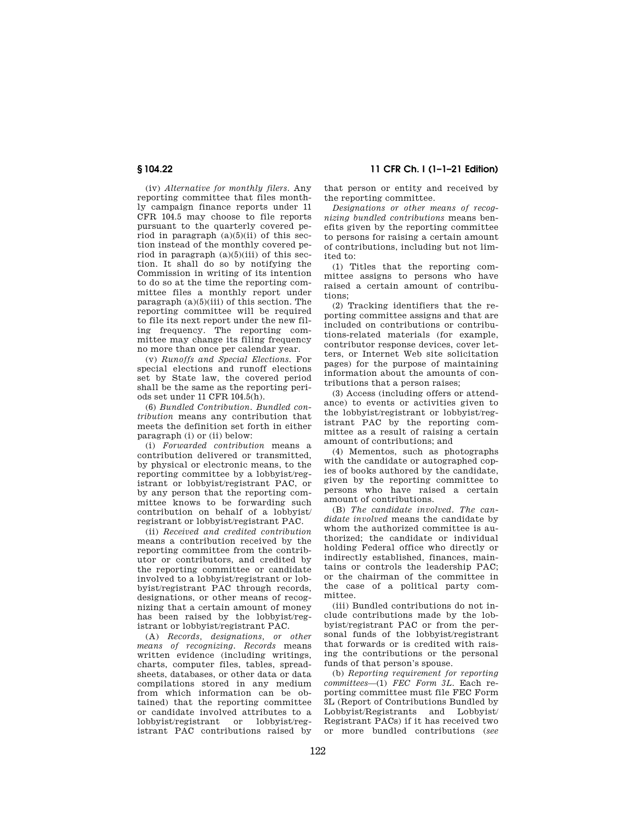(iv) *Alternative for monthly filers.* Any reporting committee that files monthly campaign finance reports under 11 CFR 104.5 may choose to file reports pursuant to the quarterly covered period in paragraph  $(a)(5)(ii)$  of this section instead of the monthly covered period in paragraph  $(a)(5)(iii)$  of this section. It shall do so by notifying the Commission in writing of its intention to do so at the time the reporting committee files a monthly report under paragraph  $(a)(5)(iii)$  of this section. The reporting committee will be required to file its next report under the new filing frequency. The reporting committee may change its filing frequency no more than once per calendar year.

(v) *Runoffs and Special Elections.* For special elections and runoff elections set by State law, the covered period shall be the same as the reporting periods set under 11 CFR 104.5(h).

(6) *Bundled Contribution. Bundled contribution* means any contribution that meets the definition set forth in either paragraph (i) or (ii) below:

(i) *Forwarded contribution* means a contribution delivered or transmitted, by physical or electronic means, to the reporting committee by a lobbyist/registrant or lobbyist/registrant PAC, or by any person that the reporting committee knows to be forwarding such contribution on behalf of a lobbyist/ registrant or lobbyist/registrant PAC.

(ii) *Received and credited contribution*  means a contribution received by the reporting committee from the contributor or contributors, and credited by the reporting committee or candidate involved to a lobbyist/registrant or lobbyist/registrant PAC through records, designations, or other means of recognizing that a certain amount of money has been raised by the lobbyist/registrant or lobbyist/registrant PAC.

(A) *Records, designations, or other means of recognizing. Records* means written evidence (including writings, charts, computer files, tables, spreadsheets, databases, or other data or data compilations stored in any medium from which information can be obtained) that the reporting committee or candidate involved attributes to a lobbyist/registrant or lobbyist/registrant PAC contributions raised by

**§ 104.22 11 CFR Ch. I (1–1–21 Edition)** 

that person or entity and received by the reporting committee.

*Designations or other means of recognizing bundled contributions* means benefits given by the reporting committee to persons for raising a certain amount of contributions, including but not limited to:

(1) Titles that the reporting committee assigns to persons who have raised a certain amount of contributions;

(2) Tracking identifiers that the reporting committee assigns and that are included on contributions or contributions-related materials (for example, contributor response devices, cover letters, or Internet Web site solicitation pages) for the purpose of maintaining information about the amounts of contributions that a person raises;

(3) Access (including offers or attendance) to events or activities given to the lobbyist/registrant or lobbyist/registrant PAC by the reporting committee as a result of raising a certain amount of contributions; and

(4) Mementos, such as photographs with the candidate or autographed copies of books authored by the candidate, given by the reporting committee to persons who have raised a certain amount of contributions.

(B) *The candidate involved. The candidate involved* means the candidate by whom the authorized committee is authorized; the candidate or individual holding Federal office who directly or indirectly established, finances, maintains or controls the leadership PAC; or the chairman of the committee in the case of a political party committee.

(iii) Bundled contributions do not include contributions made by the lobbyist/registrant PAC or from the personal funds of the lobbyist/registrant that forwards or is credited with raising the contributions or the personal funds of that person's spouse.

(b) *Reporting requirement for reporting committees*—(1) *FEC Form 3L.* Each reporting committee must file FEC Form 3L (Report of Contributions Bundled by Lobbyist/Registrants and Lobbyist/ Registrant PACs) if it has received two or more bundled contributions (*see*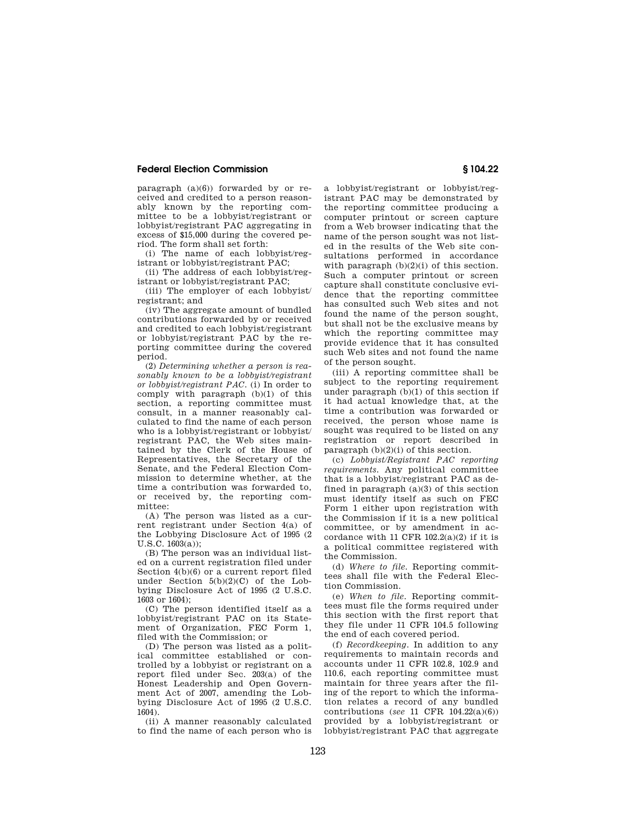paragraph (a)(6)) forwarded by or received and credited to a person reasonably known by the reporting committee to be a lobbyist/registrant or lobbyist/registrant PAC aggregating in excess of \$15,000 during the covered period. The form shall set forth:

(i) The name of each lobbyist/registrant or lobbyist/registrant PAC;

(ii) The address of each lobbyist/registrant or lobbyist/registrant PAC;

(iii) The employer of each lobbyist/ registrant; and

(iv) The aggregate amount of bundled contributions forwarded by or received and credited to each lobbyist/registrant or lobbyist/registrant PAC by the reporting committee during the covered period.

(2) *Determining whether a person is reasonably known to be a lobbyist/registrant or lobbyist/registrant PAC.* (i) In order to comply with paragraph (b)(1) of this section, a reporting committee must consult, in a manner reasonably calculated to find the name of each person who is a lobbyist/registrant or lobbyist/ registrant PAC, the Web sites maintained by the Clerk of the House of Representatives, the Secretary of the Senate, and the Federal Election Commission to determine whether, at the time a contribution was forwarded to, or received by, the reporting committee:

(A) The person was listed as a current registrant under Section 4(a) of the Lobbying Disclosure Act of 1995 (2 U.S.C. 1603(a));

(B) The person was an individual listed on a current registration filed under Section 4(b)(6) or a current report filed under Section  $5(b)(2)(C)$  of the Lobbying Disclosure Act of 1995 (2 U.S.C. 1603 or 1604);

(C) The person identified itself as a lobbyist/registrant PAC on its Statement of Organization, FEC Form 1, filed with the Commission; or

(D) The person was listed as a political committee established or controlled by a lobbyist or registrant on a report filed under Sec. 203(a) of the Honest Leadership and Open Government Act of 2007, amending the Lobbying Disclosure Act of 1995 (2 U.S.C. 1604).

(ii) A manner reasonably calculated to find the name of each person who is a lobbyist/registrant or lobbyist/registrant PAC may be demonstrated by the reporting committee producing a computer printout or screen capture from a Web browser indicating that the name of the person sought was not listed in the results of the Web site consultations performed in accordance with paragraph  $(b)(2)(i)$  of this section. Such a computer printout or screen capture shall constitute conclusive evidence that the reporting committee has consulted such Web sites and not found the name of the person sought, but shall not be the exclusive means by which the reporting committee may provide evidence that it has consulted such Web sites and not found the name of the person sought.

(iii) A reporting committee shall be subject to the reporting requirement under paragraph (b)(1) of this section if it had actual knowledge that, at the time a contribution was forwarded or received, the person whose name is sought was required to be listed on any registration or report described in paragraph  $(b)(2)(i)$  of this section.

(c) *Lobbyist/Registrant PAC reporting requirements.* Any political committee that is a lobbyist/registrant PAC as defined in paragraph  $(a)(3)$  of this section must identify itself as such on FEC Form 1 either upon registration with the Commission if it is a new political committee, or by amendment in accordance with 11 CFR  $102.2(a)(2)$  if it is a political committee registered with the Commission.

(d) *Where to file.* Reporting committees shall file with the Federal Election Commission.

(e) *When to file.* Reporting committees must file the forms required under this section with the first report that they file under 11 CFR 104.5 following the end of each covered period.

(f) *Recordkeeping.* In addition to any requirements to maintain records and accounts under 11 CFR 102.8, 102.9 and 110.6, each reporting committee must maintain for three years after the filing of the report to which the information relates a record of any bundled contributions (*see* 11 CFR 104.22(a)(6)) provided by a lobbyist/registrant or lobbyist/registrant PAC that aggregate